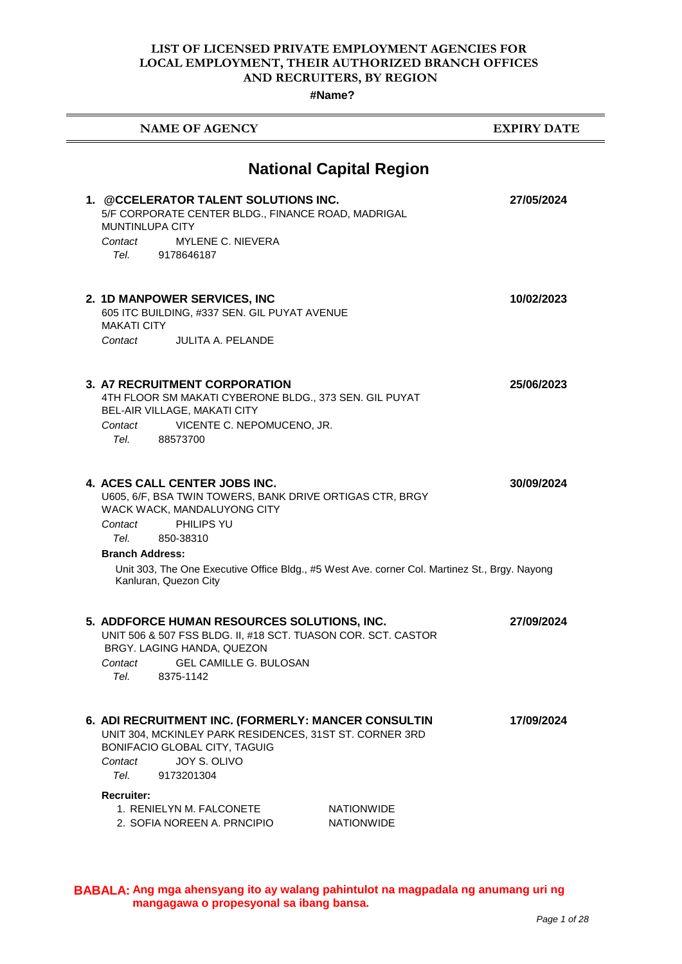## **LIST OF LICENSED PRIVATE EMPLOYMENT AGENCIES FOR LOCAL EMPLOYMENT, THEIR AUTHORIZED BRANCH OFFICES AND RECRUITERS, BY REGION**

**#Name?**

| <b>NAME OF AGENCY</b>                                                                                                                                                                                      | <b>EXPIRY DATE</b> |
|------------------------------------------------------------------------------------------------------------------------------------------------------------------------------------------------------------|--------------------|
| <b>National Capital Region</b><br>1. @CCELERATOR TALENT SOLUTIONS INC.                                                                                                                                     | 27/05/2024         |
| 5/F CORPORATE CENTER BLDG., FINANCE ROAD, MADRIGAL<br><b>MUNTINLUPA CITY</b><br><b>MYLENE C. NIEVERA</b><br>Contact<br>Tel. Teles<br>9178646187                                                            |                    |
| 2. 1D MANPOWER SERVICES, INC.<br>605 ITC BUILDING, #337 SEN. GIL PUYAT AVENUE<br><b>MAKATI CITY</b>                                                                                                        | 10/02/2023         |
| Contact<br>JULITA A. PELANDE                                                                                                                                                                               |                    |
| <b>3. A7 RECRUITMENT CORPORATION</b><br>4TH FLOOR SM MAKATI CYBERONE BLDG., 373 SEN. GIL PUYAT<br>BEL-AIR VILLAGE, MAKATI CITY                                                                             | 25/06/2023         |
| VICENTE C. NEPOMUCENO, JR.<br>Contact<br>Tel. Teles<br>88573700                                                                                                                                            |                    |
| 4. ACES CALL CENTER JOBS INC.<br>U605, 6/F, BSA TWIN TOWERS, BANK DRIVE ORTIGAS CTR, BRGY<br>WACK WACK, MANDALUYONG CITY<br><b>PHILIPS YU</b><br>Contact<br>Tel.<br>850-38310                              | 30/09/2024         |
| <b>Branch Address:</b><br>Unit 303, The One Executive Office Bldg., #5 West Ave. corner Col. Martinez St., Brgy. Nayong<br>Kanluran, Quezon City                                                           |                    |
| 5. ADDFORCE HUMAN RESOURCES SOLUTIONS, INC<br>UNIT 506 & 507 FSS BLDG. II, #18 SCT. TUASON COR. SCT. CASTOR<br>BRGY. LAGING HANDA, QUEZON<br><b>GEL CAMILLE G. BULOSAN</b><br>Contact<br>Tel.<br>8375-1142 | 27/09/2024         |
| 6. ADI RECRUITMENT INC. (FORMERLY: MANCER CONSULTIN<br>UNIT 304, MCKINLEY PARK RESIDENCES, 31ST ST. CORNER 3RD<br>BONIFACIO GLOBAL CITY, TAGUIG<br>JOY S. OLIVO<br>Contact<br>Tel.<br>9173201304           | 17/09/2024         |
| <b>Recruiter:</b><br>1. RENIELYN M. FALCONETE<br><b>NATIONWIDE</b><br>2. SOFIA NOREEN A. PRNCIPIO<br><b>NATIONWIDE</b>                                                                                     |                    |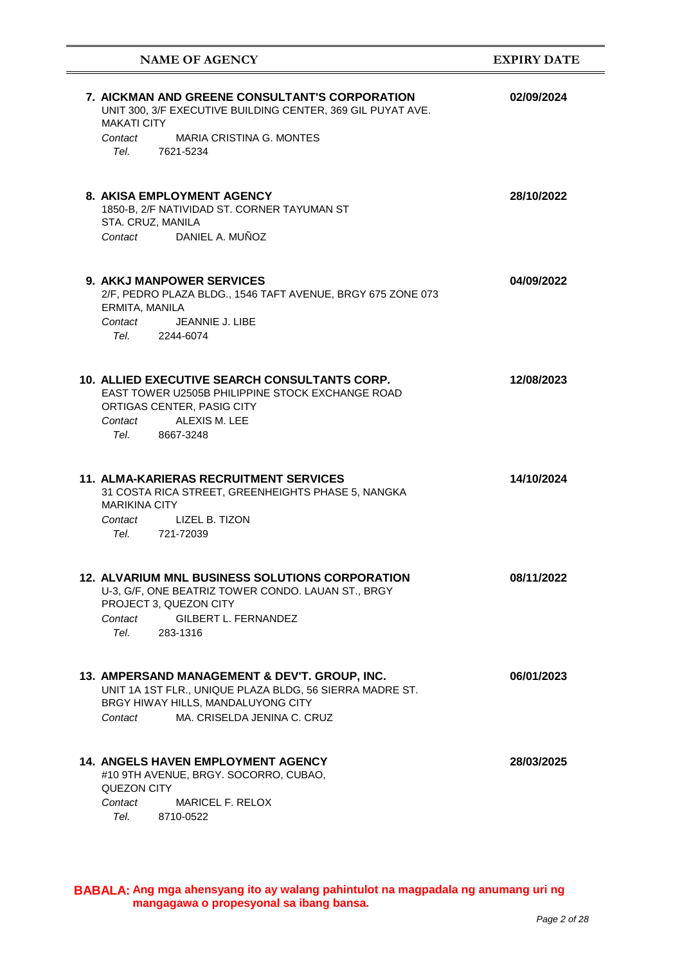| <b>NAME OF AGENCY</b>                                                                                                                                                                         | <b>EXPIRY DATE</b> |
|-----------------------------------------------------------------------------------------------------------------------------------------------------------------------------------------------|--------------------|
| 7. AICKMAN AND GREENE CONSULTANT'S CORPORATION<br>UNIT 300, 3/F EXECUTIVE BUILDING CENTER, 369 GIL PUYAT AVE.<br><b>MAKATI CITY</b>                                                           | 02/09/2024         |
| <b>MARIA CRISTINA G. MONTES</b><br>Contact<br>Tel. Telection of the Telection of the Telection of the Telection of the Telection of the Telection of the Tel<br>7621-5234                     |                    |
| <b>8. AKISA EMPLOYMENT AGENCY</b><br>1850-B, 2/F NATIVIDAD ST. CORNER TAYUMAN ST<br>STA. CRUZ, MANILA                                                                                         | 28/10/2022         |
| Contact DANIEL A. MUÑOZ                                                                                                                                                                       |                    |
| <b>9. AKKJ MANPOWER SERVICES</b><br>2/F, PEDRO PLAZA BLDG., 1546 TAFT AVENUE, BRGY 675 ZONE 073<br>ERMITA, MANILA<br>JEANNIE J. LIBE<br>Contact<br>Tel. 2244-6074                             | 04/09/2022         |
| 10. ALLIED EXECUTIVE SEARCH CONSULTANTS CORP.<br>EAST TOWER U2505B PHILIPPINE STOCK EXCHANGE ROAD<br>ORTIGAS CENTER, PASIG CITY<br>Contact<br>ALEXIS M. LEE<br>Tel. 8667-3248                 | 12/08/2023         |
| <b>11. ALMA-KARIERAS RECRUITMENT SERVICES</b><br>31 COSTA RICA STREET, GREENHEIGHTS PHASE 5, NANGKA<br><b>MARIKINA CITY</b><br>LIZEL B. TIZON<br>Contact<br>Tel. 721-72039                    | 14/10/2024         |
| <b>12. ALVARIUM MNL BUSINESS SOLUTIONS CORPORATION</b><br>U-3, G/F, ONE BEATRIZ TOWER CONDO. LAUAN ST., BRGY<br>PROJECT 3, QUEZON CITY<br>GILBERT L. FERNANDEZ<br>Contact<br>Tel.<br>283-1316 | 08/11/2022         |
| 13. AMPERSAND MANAGEMENT & DEV'T. GROUP, INC.<br>UNIT 1A 1ST FLR., UNIQUE PLAZA BLDG, 56 SIERRA MADRE ST.<br>BRGY HIWAY HILLS, MANDALUYONG CITY<br>MA. CRISELDA JENINA C. CRUZ<br>Contact     | 06/01/2023         |
| <b>14. ANGELS HAVEN EMPLOYMENT AGENCY</b><br>#10 9TH AVENUE, BRGY. SOCORRO, CUBAO,<br>QUEZON CITY<br><b>MARICEL F. RELOX</b><br>Contact<br>Tel. Teles<br>8710-0522                            | 28/03/2025         |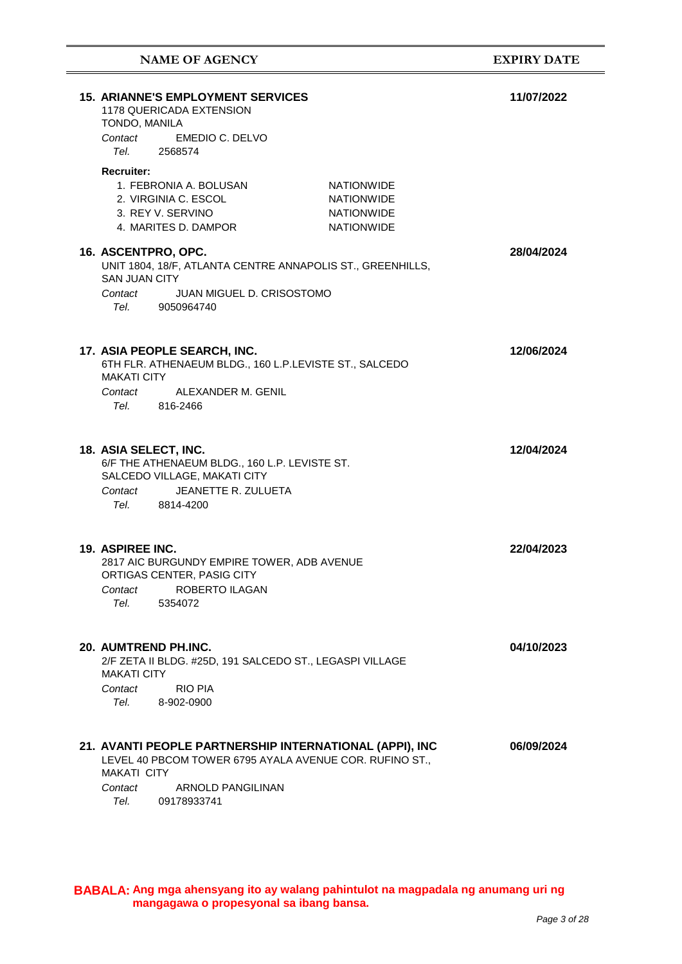| TONDO, MANILA<br>Tel. Telection of the Telection of the Telection of the Telection of the Telection of the Telection of the Tel | <b>15. ARIANNE'S EMPLOYMENT SERVICES</b><br>1178 QUERICADA EXTENSION<br>Contact EMEDIO C. DELVO<br>2568574                                                    |                                                                                  | 11/07/2022 |
|---------------------------------------------------------------------------------------------------------------------------------|---------------------------------------------------------------------------------------------------------------------------------------------------------------|----------------------------------------------------------------------------------|------------|
| <b>Recruiter:</b>                                                                                                               | 1. FEBRONIA A. BOLUSAN<br>2. VIRGINIA C. ESCOL<br>3. REY V. SERVINO<br>4. MARITES D. DAMPOR                                                                   | <b>NATIONWIDE</b><br><b>NATIONWIDE</b><br><b>NATIONWIDE</b><br><b>NATIONWIDE</b> |            |
| 16. ASCENTPRO, OPC.<br><b>SAN JUAN CITY</b><br>Contact                                                                          | UNIT 1804, 18/F, ATLANTA CENTRE ANNAPOLIS ST., GREENHILLS,<br>JUAN MIGUEL D. CRISOSTOMO<br>Tel. 9050964740                                                    |                                                                                  | 28/04/2024 |
| <b>MAKATI CITY</b>                                                                                                              | 17. ASIA PEOPLE SEARCH, INC.<br>6TH FLR. ATHENAEUM BLDG., 160 L.P.LEVISTE ST., SALCEDO<br>Contact ALEXANDER M. GENIL<br>Tel. 816-2466                         |                                                                                  | 12/06/2024 |
| 18. ASIA SELECT, INC.                                                                                                           | 6/F THE ATHENAEUM BLDG., 160 L.P. LEVISTE ST.<br>SALCEDO VILLAGE, MAKATI CITY<br>Contact JEANETTE R. ZULUETA<br>Tel. 8814-4200                                |                                                                                  | 12/04/2024 |
| <b>19. ASPIREE INC.</b><br>Contact<br>Tel.                                                                                      | 2817 AIC BURGUNDY EMPIRE TOWER, ADB AVENUE<br>ORTIGAS CENTER, PASIG CITY<br>ROBERTO ILAGAN<br>5354072                                                         |                                                                                  | 22/04/2023 |
| MAKATI CITY<br>Contact<br>Tel.                                                                                                  | 20. AUMTREND PH.INC.<br>2/F ZETA II BLDG. #25D, 191 SALCEDO ST., LEGASPI VILLAGE<br>RIO PIA<br>8-902-0900                                                     |                                                                                  | 04/10/2023 |
| MAKATI CITY<br>Contact<br>Tel.                                                                                                  | 21. AVANTI PEOPLE PARTNERSHIP INTERNATIONAL (APPI), INC<br>LEVEL 40 PBCOM TOWER 6795 AYALA AVENUE COR. RUFINO ST.,<br><b>ARNOLD PANGILINAN</b><br>09178933741 |                                                                                  | 06/09/2024 |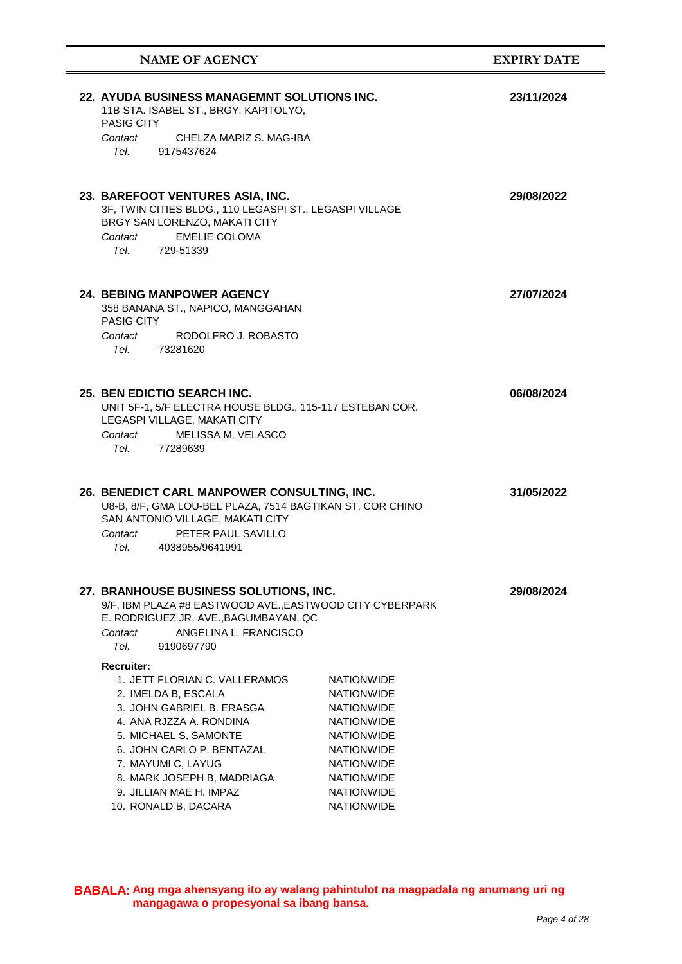| <b>NAME OF AGENCY</b>                                                                                                                                                                                                                                                                                                                                                                                                                                                                       | <b>EXPIRY DATE</b> |
|---------------------------------------------------------------------------------------------------------------------------------------------------------------------------------------------------------------------------------------------------------------------------------------------------------------------------------------------------------------------------------------------------------------------------------------------------------------------------------------------|--------------------|
| 22. AYUDA BUSINESS MANAGEMNT SOLUTIONS INC.<br>11B STA. ISABEL ST., BRGY. KAPITOLYO,<br><b>PASIG CITY</b><br>Contact<br>CHELZA MARIZ S. MAG-IBA<br>Tel. Teles<br>9175437624                                                                                                                                                                                                                                                                                                                 | 23/11/2024         |
| 23. BAREFOOT VENTURES ASIA, INC.<br>3F, TWIN CITIES BLDG., 110 LEGASPI ST., LEGASPI VILLAGE<br>BRGY SAN LORENZO, MAKATI CITY<br><b>EMELIE COLOMA</b><br>Contact<br>Tel. 729-51339                                                                                                                                                                                                                                                                                                           | 29/08/2022         |
| <b>24. BEBING MANPOWER AGENCY</b><br>358 BANANA ST., NAPICO, MANGGAHAN<br><b>PASIG CITY</b><br>RODOLFRO J. ROBASTO<br>Contact<br>Tel.<br>73281620                                                                                                                                                                                                                                                                                                                                           | 27/07/2024         |
| 25. BEN EDICTIO SEARCH INC.<br>UNIT 5F-1, 5/F ELECTRA HOUSE BLDG., 115-117 ESTEBAN COR.<br>LEGASPI VILLAGE, MAKATI CITY<br>MELISSA M. VELASCO<br>Contact<br>Tel. 77289639                                                                                                                                                                                                                                                                                                                   | 06/08/2024         |
| 26. BENEDICT CARL MANPOWER CONSULTING, INC.<br>U8-B, 8/F, GMA LOU-BEL PLAZA, 7514 BAGTIKAN ST. COR CHINO<br>SAN ANTONIO VILLAGE, MAKATI CITY<br>PETER PAUL SAVILLO<br>Contact<br>Tel. Teles<br>4038955/9641991                                                                                                                                                                                                                                                                              | 31/05/2022         |
| 27. BRANHOUSE BUSINESS SOLUTIONS, INC.<br>9/F, IBM PLAZA #8 EASTWOOD AVE., EASTWOOD CITY CYBERPARK<br>E. RODRIGUEZ JR. AVE., BAGUMBAYAN, QC<br>ANGELINA L. FRANCISCO<br>Contact<br>Tel.<br>9190697790<br><b>Recruiter:</b>                                                                                                                                                                                                                                                                  | 29/08/2024         |
| 1. JETT FLORIAN C. VALLERAMOS<br><b>NATIONWIDE</b><br>2. IMELDA B, ESCALA<br><b>NATIONWIDE</b><br>3. JOHN GABRIEL B. ERASGA<br><b>NATIONWIDE</b><br>4. ANA RJZZA A. RONDINA<br><b>NATIONWIDE</b><br>5. MICHAEL S, SAMONTE<br><b>NATIONWIDE</b><br>6. JOHN CARLO P. BENTAZAL<br><b>NATIONWIDE</b><br>7. MAYUMI C, LAYUG<br><b>NATIONWIDE</b><br>8. MARK JOSEPH B, MADRIAGA<br><b>NATIONWIDE</b><br>9. JILLIAN MAE H. IMPAZ<br><b>NATIONWIDE</b><br><b>NATIONWIDE</b><br>10. RONALD B, DACARA |                    |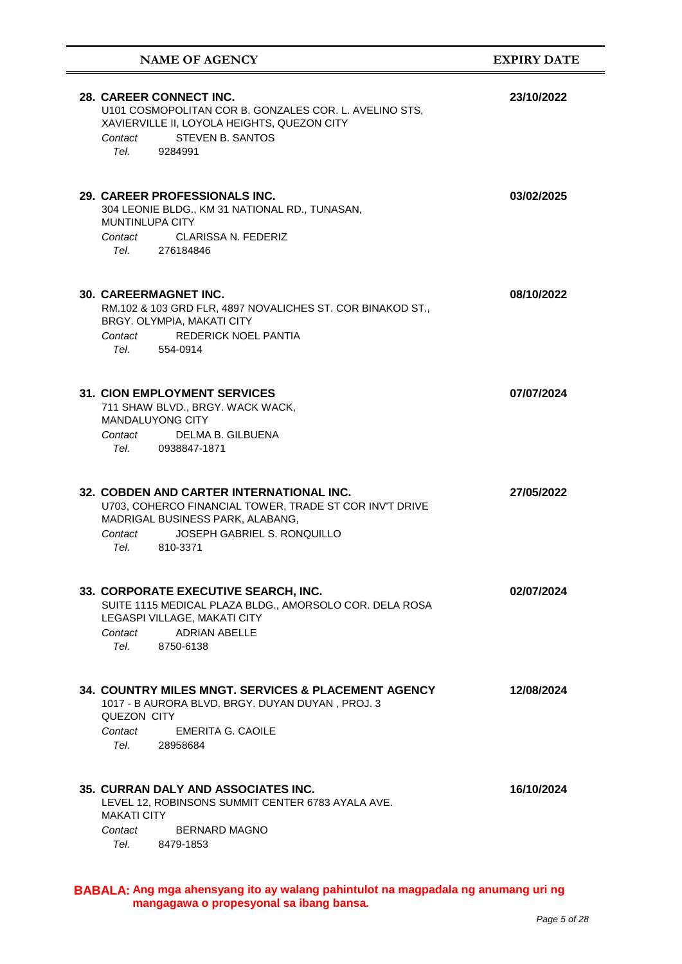| <b>NAME OF AGENCY</b>                                                                                                                                                                                 | <b>EXPIRY DATE</b> |
|-------------------------------------------------------------------------------------------------------------------------------------------------------------------------------------------------------|--------------------|
| 28. CAREER CONNECT INC.<br>U101 COSMOPOLITAN COR B. GONZALES COR. L. AVELINO STS,<br>XAVIERVILLE II, LOYOLA HEIGHTS, QUEZON CITY<br><b>STEVEN B. SANTOS</b><br>Contact<br>Tel.<br>9284991             | 23/10/2022         |
| 29. CAREER PROFESSIONALS INC.<br>304 LEONIE BLDG., KM 31 NATIONAL RD., TUNASAN,<br><b>MUNTINLUPA CITY</b><br><b>CLARISSA N. FEDERIZ</b><br>Contact<br>Tel. 276184846                                  | 03/02/2025         |
| <b>30. CAREERMAGNET INC.</b><br>RM.102 & 103 GRD FLR, 4897 NOVALICHES ST. COR BINAKOD ST.,<br>BRGY. OLYMPIA, MAKATI CITY<br><b>REDERICK NOEL PANTIA</b><br>Contact<br>Tel. 554-0914                   | 08/10/2022         |
| <b>31. CION EMPLOYMENT SERVICES</b><br>711 SHAW BLVD., BRGY. WACK WACK,<br><b>MANDALUYONG CITY</b><br>Contact<br>DELMA B. GILBUENA<br>Tel. Teles<br>0938847-1871                                      | 07/07/2024         |
| 32. COBDEN AND CARTER INTERNATIONAL INC.<br>U703, COHERCO FINANCIAL TOWER, TRADE ST COR INV'T DRIVE<br>MADRIGAL BUSINESS PARK, ALABANG,<br>JOSEPH GABRIEL S. RONQUILLO<br>Contact<br>Tel.<br>810-3371 | 27/05/2022         |
| 33. CORPORATE EXECUTIVE SEARCH, INC.<br>SUITE 1115 MEDICAL PLAZA BLDG., AMORSOLO COR. DELA ROSA<br>LEGASPI VILLAGE, MAKATI CITY<br>ADRIAN ABELLE<br>Contact<br>Tel. 8750-6138                         | 02/07/2024         |
| <b>34. COUNTRY MILES MNGT. SERVICES &amp; PLACEMENT AGENCY</b><br>1017 - B AURORA BLVD. BRGY. DUYAN DUYAN, PROJ. 3<br>QUEZON CITY<br>Contact<br>EMERITA G. CAOILE<br>Tel.<br>28958684                 | 12/08/2024         |
| 35. CURRAN DALY AND ASSOCIATES INC.<br>LEVEL 12, ROBINSONS SUMMIT CENTER 6783 AYALA AVE.<br><b>MAKATI CITY</b><br><b>BERNARD MAGNO</b><br>Contact<br>Tel. 8479-1853                                   | 16/10/2024         |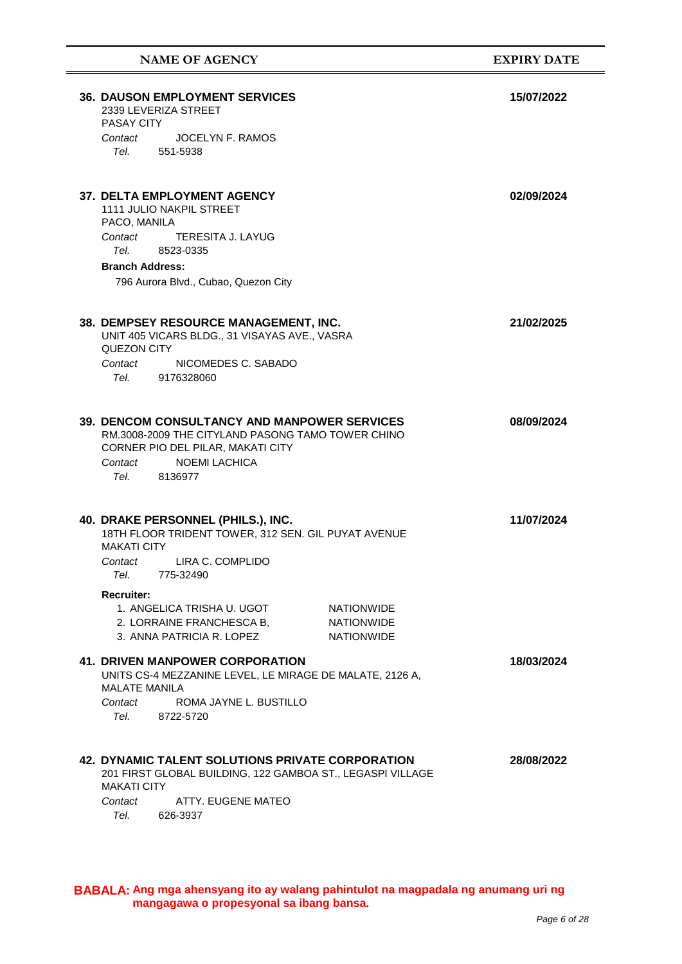| <b>NAME OF AGENCY</b>                                                                                                                                                                               | <b>EXPIRY DATE</b> |
|-----------------------------------------------------------------------------------------------------------------------------------------------------------------------------------------------------|--------------------|
| <b>36. DAUSON EMPLOYMENT SERVICES</b><br>2339 LEVERIZA STREET<br><b>PASAY CITY</b>                                                                                                                  | 15/07/2022         |
| JOCELYN F. RAMOS<br>Contact<br>Tel.<br>551-5938                                                                                                                                                     |                    |
| <b>37. DELTA EMPLOYMENT AGENCY</b><br>1111 JULIO NAKPIL STREET<br>PACO, MANILA<br>Contact<br>TERESITA J. LAYUG                                                                                      | 02/09/2024         |
| Tel.<br>8523-0335                                                                                                                                                                                   |                    |
| <b>Branch Address:</b><br>796 Aurora Blvd., Cubao, Quezon City                                                                                                                                      |                    |
| 38. DEMPSEY RESOURCE MANAGEMENT, INC.<br>UNIT 405 VICARS BLDG., 31 VISAYAS AVE., VASRA<br>QUEZON CITY                                                                                               | 21/02/2025         |
| Contact<br>NICOMEDES C. SABADO<br>Tel.<br>9176328060                                                                                                                                                |                    |
| <b>39. DENCOM CONSULTANCY AND MANPOWER SERVICES</b><br>RM.3008-2009 THE CITYLAND PASONG TAMO TOWER CHINO<br>CORNER PIO DEL PILAR, MAKATI CITY<br><b>NOEMI LACHICA</b><br>Contact<br>Tel.<br>8136977 | 08/09/2024         |
| 40. DRAKE PERSONNEL (PHILS.), INC.<br>18TH FLOOR TRIDENT TOWER, 312 SEN. GIL PUYAT AVENUE<br><b>MAKATI CITY</b><br>LIRA C. COMPLIDO<br>Contact<br>Tel.<br>775-32490                                 | 11/07/2024         |
| <b>Recruiter:</b>                                                                                                                                                                                   |                    |
| 1. ANGELICA TRISHA U. UGOT<br><b>NATIONWIDE</b><br>2. LORRAINE FRANCHESCA B.<br><b>NATIONWIDE</b><br>3. ANNA PATRICIA R. LOPEZ<br><b>NATIONWIDE</b>                                                 |                    |
| <b>41. DRIVEN MANPOWER CORPORATION</b><br>UNITS CS-4 MEZZANINE LEVEL, LE MIRAGE DE MALATE, 2126 A,<br><b>MALATE MANILA</b><br>ROMA JAYNE L. BUSTILLO<br>Contact<br>Tel.<br>8722-5720                | 18/03/2024         |
| <b>42. DYNAMIC TALENT SOLUTIONS PRIVATE CORPORATION</b><br>201 FIRST GLOBAL BUILDING, 122 GAMBOA ST., LEGASPI VILLAGE<br><b>MAKATI CITY</b><br>ATTY, EUGENE MATEO<br>Contact<br>Tel.<br>626-3937    | 28/08/2022         |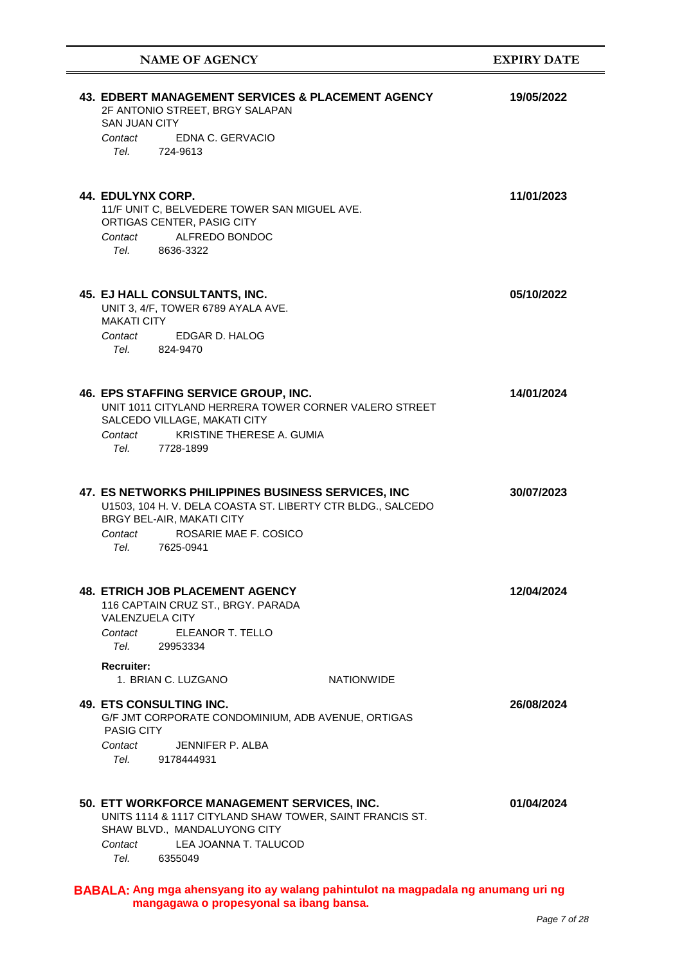| <b>NAME OF AGENCY</b>                                                                                                                                                                                                                                                | <b>EXPIRY DATE</b> |
|----------------------------------------------------------------------------------------------------------------------------------------------------------------------------------------------------------------------------------------------------------------------|--------------------|
| 43. EDBERT MANAGEMENT SERVICES & PLACEMENT AGENCY<br>2F ANTONIO STREET, BRGY SALAPAN<br><b>SAN JUAN CITY</b><br>EDNA C. GERVACIO<br>Contact<br>Tel. 724-9613                                                                                                         | 19/05/2022         |
| <b>44. EDULYNX CORP.</b><br>11/F UNIT C, BELVEDERE TOWER SAN MIGUEL AVE.<br>ORTIGAS CENTER, PASIG CITY<br>Contact<br>ALFREDO BONDOC<br>Tel. 8636-3322                                                                                                                | 11/01/2023         |
| 45. EJ HALL CONSULTANTS, INC.<br>UNIT 3, 4/F, TOWER 6789 AYALA AVE.<br><b>MAKATI CITY</b><br>Contact EDGAR D. HALOG<br>Tel. 824-9470                                                                                                                                 | 05/10/2022         |
| 46. EPS STAFFING SERVICE GROUP, INC.<br>UNIT 1011 CITYLAND HERRERA TOWER CORNER VALERO STREET<br>SALCEDO VILLAGE, MAKATI CITY<br>KRISTINE THERESE A. GUMIA<br>Contact<br>Tel. 7728-1899                                                                              | 14/01/2024         |
| 47. ES NETWORKS PHILIPPINES BUSINESS SERVICES, INC<br>U1503, 104 H. V. DELA COASTA ST. LIBERTY CTR BLDG., SALCEDO<br>BRGY BEL-AIR, MAKATI CITY<br>ROSARIE MAE F. COSICO<br>Contact<br>Tel. 7625-0941                                                                 | 30/07/2023         |
| <b>48. ETRICH JOB PLACEMENT AGENCY</b><br>116 CAPTAIN CRUZ ST., BRGY. PARADA<br>VALENZUELA CITY<br>Contact ELEANOR T. TELLO<br>Tel. Telessing the Telession of the Telession of the Telession of the Telession of the Telessing Str<br>29953334<br><b>Recruiter:</b> | 12/04/2024         |
| 1. BRIAN C. LUZGANO<br><b>NATIONWIDE</b><br><b>49. ETS CONSULTING INC.</b><br>G/F JMT CORPORATE CONDOMINIUM, ADB AVENUE, ORTIGAS<br><b>PASIG CITY</b><br>JENNIFER P. ALBA<br>Contact<br>Tel. 9178444931                                                              | 26/08/2024         |
| 50. ETT WORKFORCE MANAGEMENT SERVICES, INC.<br>UNITS 1114 & 1117 CITYLAND SHAW TOWER, SAINT FRANCIS ST.<br>SHAW BLVD., MANDALUYONG CITY<br>LEA JOANNA T. TALUCOD<br>Contact<br>Tel.<br>6355049                                                                       | 01/04/2024         |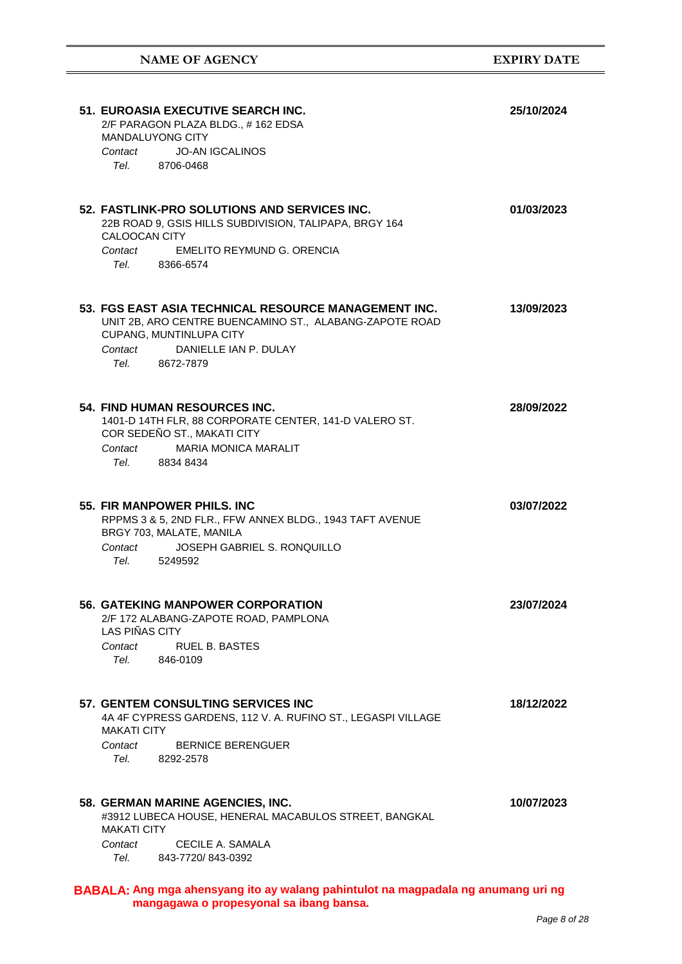| 51. EUROASIA EXECUTIVE SEARCH INC.<br>2/F PARAGON PLAZA BLDG., #162 EDSA<br><b>MANDALUYONG CITY</b><br>Contact JO-AN IGCALINOS<br>Tel. 8706-0468                                                    | 25/10/2024 |
|-----------------------------------------------------------------------------------------------------------------------------------------------------------------------------------------------------|------------|
| 52. FASTLINK-PRO SOLUTIONS AND SERVICES INC.<br>22B ROAD 9, GSIS HILLS SUBDIVISION, TALIPAPA, BRGY 164<br>CALOOCAN CITY<br>EMELITO REYMUND G. ORENCIA<br>Contact<br>Tel. 8366-6574                  | 01/03/2023 |
| 53. FGS EAST ASIA TECHNICAL RESOURCE MANAGEMENT INC.<br>UNIT 2B, ARO CENTRE BUENCAMINO ST., ALABANG-ZAPOTE ROAD<br>CUPANG, MUNTINLUPA CITY<br>DANIELLE IAN P. DULAY<br>Contact<br>Tel.<br>8672-7879 | 13/09/2023 |
| 54. FIND HUMAN RESOURCES INC.<br>1401-D 14TH FLR, 88 CORPORATE CENTER, 141-D VALERO ST.<br>COR SEDEÑO ST., MAKATI CITY<br>MARIA MONICA MARALIT<br>Contact<br>Tel. 8834 8434                         | 28/09/2022 |
| 55. FIR MANPOWER PHILS, INC.<br>RPPMS 3 & 5, 2ND FLR., FFW ANNEX BLDG., 1943 TAFT AVENUE<br>BRGY 703, MALATE, MANILA<br>Contact<br>JOSEPH GABRIEL S. RONQUILLO<br>Tel. 5249592                      | 03/07/2022 |
| <b>56. GATEKING MANPOWER CORPORATION</b><br>2/F 172 ALABANG-ZAPOTE ROAD, PAMPLONA<br>LAS PIÑAS CITY<br>Contact<br>RUEL B. BASTES<br>Tel.<br>846-0109                                                | 23/07/2024 |
| 57. GENTEM CONSULTING SERVICES INC.<br>4A 4F CYPRESS GARDENS, 112 V. A. RUFINO ST., LEGASPI VILLAGE<br><b>MAKATI CITY</b><br>Contact<br><b>BERNICE BERENGUER</b><br>Tel.<br>8292-2578               | 18/12/2022 |
| 58. GERMAN MARINE AGENCIES, INC.<br>#3912 LUBECA HOUSE, HENERAL MACABULOS STREET, BANGKAL<br><b>MAKATI CITY</b><br>CECILE A. SAMALA<br>Contact<br>Tel.<br>843-7720/843-0392                         | 10/07/2023 |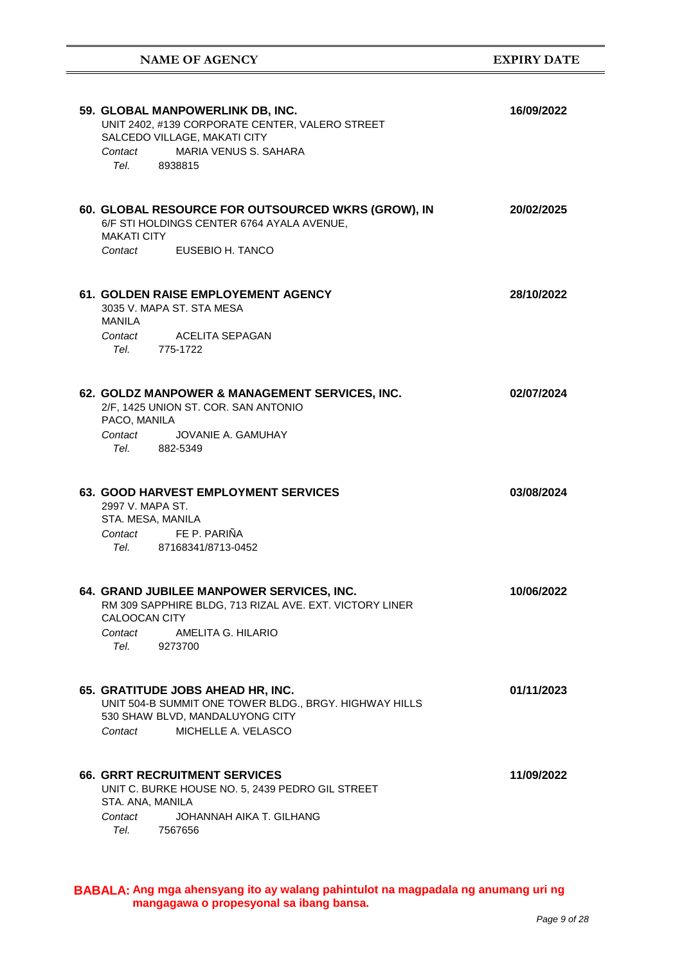| 59. GLOBAL MANPOWERLINK DB, INC.<br>UNIT 2402, #139 CORPORATE CENTER, VALERO STREET<br>SALCEDO VILLAGE, MAKATI CITY<br>MARIA VENUS S. SAHARA<br>Contact<br>Tel.<br>8938815 | 16/09/2022 |
|----------------------------------------------------------------------------------------------------------------------------------------------------------------------------|------------|
| 60. GLOBAL RESOURCE FOR OUTSOURCED WKRS (GROW), IN<br>6/F STI HOLDINGS CENTER 6764 AYALA AVENUE,<br>MAKATI CITY<br>EUSEBIO H. TANCO<br>Contact                             | 20/02/2025 |
| <b>61. GOLDEN RAISE EMPLOYEMENT AGENCY</b><br>3035 V. MAPA ST. STA MESA<br>MANILA<br>Contact ACELITA SEPAGAN<br>Tel. 775-1722                                              | 28/10/2022 |
| 62. GOLDZ MANPOWER & MANAGEMENT SERVICES, INC.<br>2/F, 1425 UNION ST. COR. SAN ANTONIO<br>PACO, MANILA<br>Contact JOVANIE A. GAMUHAY<br>Tel. 882-5349                      | 02/07/2024 |
| <b>63. GOOD HARVEST EMPLOYMENT SERVICES</b><br>2997 V. MAPA ST.<br>STA. MESA, MANILA<br>Contact FE P. PARIÑA<br>Tel. 87168341/8713-0452                                    | 03/08/2024 |
| 64. GRAND JUBILEE MANPOWER SERVICES, INC.<br>RM 309 SAPPHIRE BLDG, 713 RIZAL AVE. EXT. VICTORY LINER<br>CALOOCAN CITY<br>AMELITA G. HILARIO<br>Contact<br>Tel.<br>9273700  | 10/06/2022 |
| 65. GRATITUDE JOBS AHEAD HR, INC.<br>UNIT 504-B SUMMIT ONE TOWER BLDG., BRGY. HIGHWAY HILLS<br>530 SHAW BLVD, MANDALUYONG CITY<br>MICHELLE A. VELASCO<br>Contact           | 01/11/2023 |
| <b>66. GRRT RECRUITMENT SERVICES</b><br>UNIT C. BURKE HOUSE NO. 5, 2439 PEDRO GIL STREET<br>STA. ANA, MANILA<br>Contact<br>JOHANNAH AIKA T. GILHANG<br>Tel.<br>7567656     | 11/09/2022 |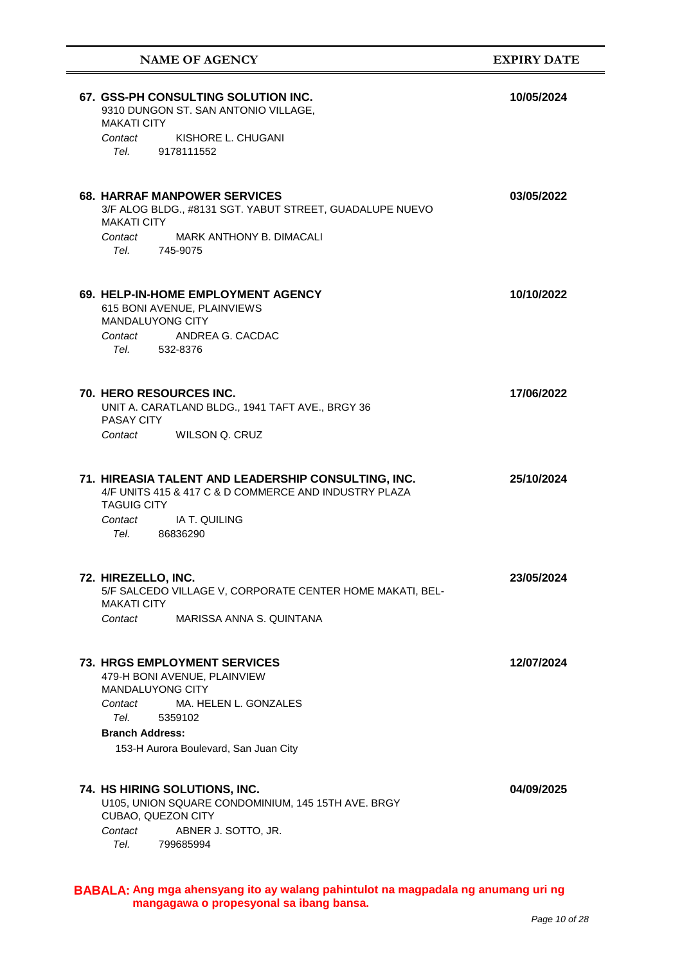| <b>NAME OF AGENCY</b>                                                                                                                                                                                             | <b>EXPIRY DATE</b> |
|-------------------------------------------------------------------------------------------------------------------------------------------------------------------------------------------------------------------|--------------------|
| 67. GSS-PH CONSULTING SOLUTION INC.<br>9310 DUNGON ST. SAN ANTONIO VILLAGE,<br><b>MAKATI CITY</b><br>KISHORE L. CHUGANI<br>Contact<br>Tel. 9178111552                                                             | 10/05/2024         |
| <b>68. HARRAF MANPOWER SERVICES</b><br>3/F ALOG BLDG., #8131 SGT. YABUT STREET, GUADALUPE NUEVO<br><b>MAKATI CITY</b><br><b>MARK ANTHONY B. DIMACALI</b><br>Contact<br>Tel. 745-9075                              | 03/05/2022         |
| <b>69. HELP-IN-HOME EMPLOYMENT AGENCY</b><br>615 BONI AVENUE, PLAINVIEWS<br><b>MANDALUYONG CITY</b><br>Contact ANDREA G. CACDAC<br>Tel.<br>532-8376                                                               | 10/10/2022         |
| <b>70. HERO RESOURCES INC.</b><br>UNIT A. CARATLAND BLDG., 1941 TAFT AVE., BRGY 36<br><b>PASAY CITY</b><br>WILSON Q. CRUZ<br>Contact                                                                              | 17/06/2022         |
| 71. HIREASIA TALENT AND LEADERSHIP CONSULTING, INC.<br>4/F UNITS 415 & 417 C & D COMMERCE AND INDUSTRY PLAZA<br><b>TAGUIG CITY</b><br>Contact<br>IA T. QUILING<br>Tel.<br>86836290                                | 25/10/2024         |
| 72. HIREZELLO, INC.<br>5/F SALCEDO VILLAGE V, CORPORATE CENTER HOME MAKATI, BEL-<br><b>MAKATI CITY</b><br>Contact<br>MARISSA ANNA S. QUINTANA                                                                     | 23/05/2024         |
| <b>73. HRGS EMPLOYMENT SERVICES</b><br>479-H BONI AVENUE, PLAINVIEW<br>MANDALUYONG CITY<br>MA. HELEN L. GONZALES<br>Contact<br>Tel.<br>5359102<br><b>Branch Address:</b><br>153-H Aurora Boulevard, San Juan City | 12/07/2024         |
| 74. HS HIRING SOLUTIONS, INC.<br>U105, UNION SQUARE CONDOMINIUM, 145 15TH AVE. BRGY<br>CUBAO, QUEZON CITY<br>Contact<br>ABNER J. SOTTO, JR.<br>Tel.<br>799685994                                                  | 04/09/2025         |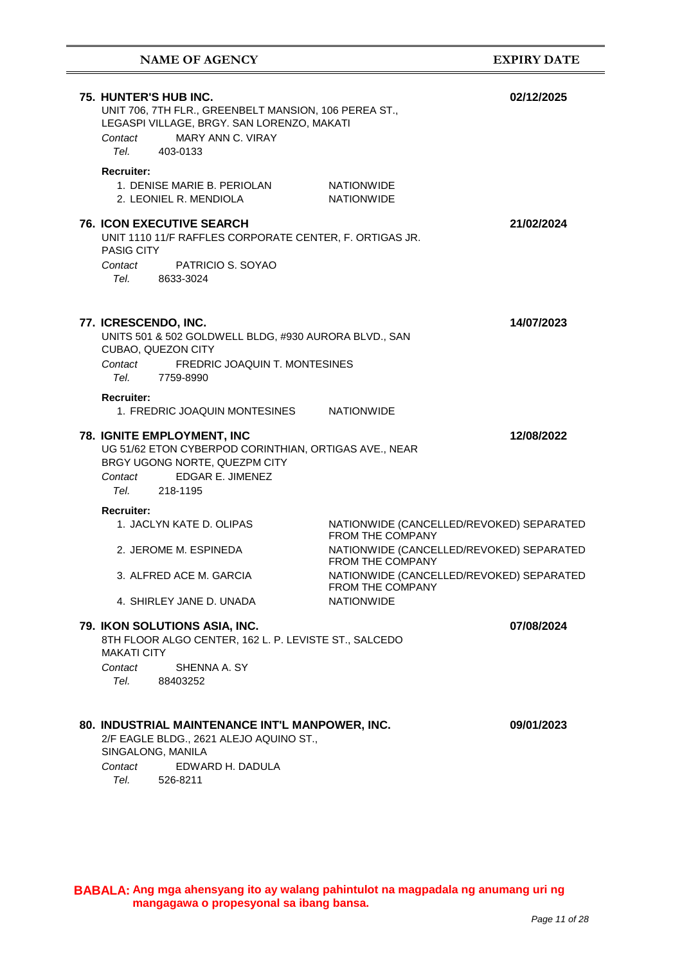# **NAME OF AGENCY EXPIRY DATE**

| 75. HUNTER'S HUB INC.<br>UNIT 706, 7TH FLR., GREENBELT MANSION, 106 PEREA ST.,<br>LEGASPI VILLAGE, BRGY. SAN LORENZO, MAKATI<br><b>MARY ANN C. VIRAY</b><br>Contact<br>Tel. 403-0133 |                                                                     | 02/12/2025 |
|--------------------------------------------------------------------------------------------------------------------------------------------------------------------------------------|---------------------------------------------------------------------|------------|
| <b>Recruiter:</b><br>1. DENISE MARIE B. PERIOLAN<br>2. LEONIEL R. MENDIOLA                                                                                                           | <b>NATIONWIDE</b><br><b>NATIONWIDE</b>                              |            |
| <b>76. ICON EXECUTIVE SEARCH</b><br>UNIT 1110 11/F RAFFLES CORPORATE CENTER, F. ORTIGAS JR.<br><b>PASIG CITY</b><br>PATRICIO S. SOYAO<br>Contact<br>Tel. 8633-3024                   |                                                                     | 21/02/2024 |
| 77. ICRESCENDO, INC.<br>UNITS 501 & 502 GOLDWELL BLDG, #930 AURORA BLVD., SAN<br>CUBAO, QUEZON CITY<br>Contact<br>FREDRIC JOAQUIN T. MONTESINES<br>Tel<br>7759-8990                  |                                                                     | 14/07/2023 |
| <b>Recruiter:</b><br>1. FREDRIC JOAQUIN MONTESINES NATIONWIDE                                                                                                                        |                                                                     |            |
| 78. IGNITE EMPLOYMENT, INC<br>UG 51/62 ETON CYBERPOD CORINTHIAN, ORTIGAS AVE., NEAR<br>BRGY UGONG NORTE, QUEZPM CITY<br>EDGAR E. JIMENEZ<br>Contact<br>Tel. 218-1195                 |                                                                     | 12/08/2022 |
| <b>Recruiter:</b><br>1. JACLYN KATE D. OLIPAS                                                                                                                                        | NATIONWIDE (CANCELLED/REVOKED) SEPARATED<br><b>FROM THE COMPANY</b> |            |
| 2. JEROME M. ESPINEDA                                                                                                                                                                | NATIONWIDE (CANCELLED/REVOKED) SEPARATED<br><b>FROM THE COMPANY</b> |            |
| 3. ALFRED ACE M. GARCIA                                                                                                                                                              | NATIONWIDE (CANCELLED/REVOKED) SEPARATED<br><b>FROM THE COMPANY</b> |            |
| 4. SHIRLEY JANE D. UNADA                                                                                                                                                             | <b>NATIONWIDE</b>                                                   |            |
| 79. IKON SOLUTIONS ASIA, INC.<br>8TH FLOOR ALGO CENTER, 162 L. P. LEVISTE ST., SALCEDO<br><b>MAKATI CITY</b><br>SHENNA A. SY<br>Contact<br>Tel.<br>88403252                          |                                                                     | 07/08/2024 |
| 80. INDUSTRIAL MAINTENANCE INT'L MANPOWER, INC.<br>2/F EAGLE BLDG., 2621 ALEJO AQUINO ST.,<br>SINGALONG, MANILA<br>EDWARD H. DADULA<br>Contact<br>Tel.<br>526-8211                   |                                                                     | 09/01/2023 |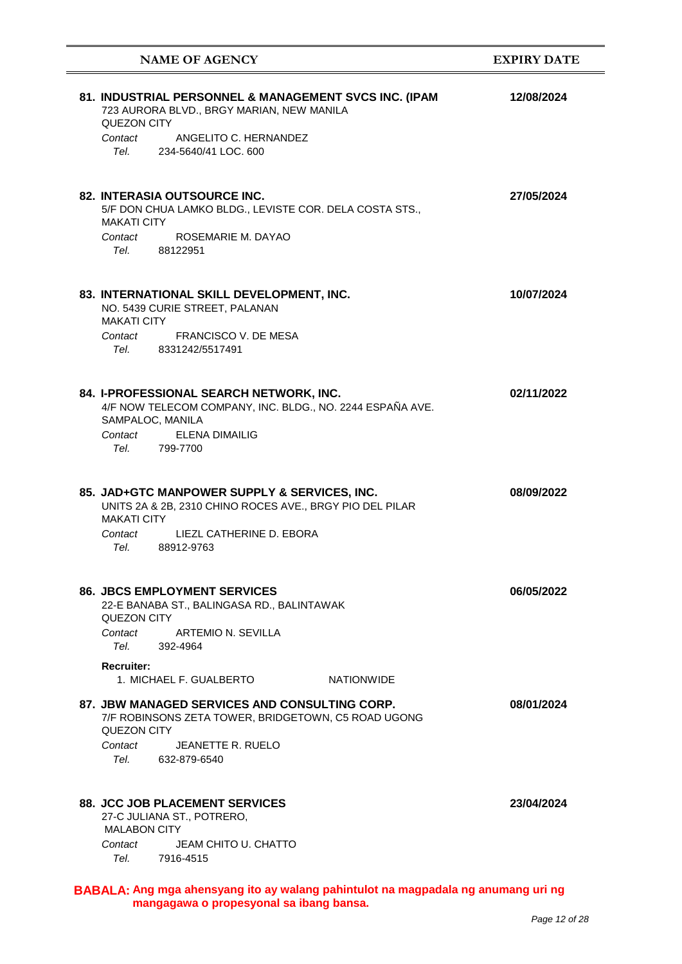| <b>NAME OF AGENCY</b>                                                                                                                                                                                                                                                               | <b>EXPIRY DATE</b> |
|-------------------------------------------------------------------------------------------------------------------------------------------------------------------------------------------------------------------------------------------------------------------------------------|--------------------|
| 81. INDUSTRIAL PERSONNEL & MANAGEMENT SVCS INC. (IPAM<br>723 AURORA BLVD., BRGY MARIAN, NEW MANILA<br>QUEZON CITY<br>ANGELITO C. HERNANDEZ<br>Contact                                                                                                                               | 12/08/2024         |
| Tel. 234-5640/41 LOC, 600                                                                                                                                                                                                                                                           |                    |
| <b>82. INTERASIA OUTSOURCE INC.</b><br>5/F DON CHUA LAMKO BLDG., LEVISTE COR. DELA COSTA STS.,<br><b>MAKATI CITY</b><br>ROSEMARIE M. DAYAO<br>Contact<br>Tel. Telection of the Telection of the Telection of the Telection of the Telection of the Telection of the Tel<br>88122951 | 27/05/2024         |
|                                                                                                                                                                                                                                                                                     |                    |
| 83. INTERNATIONAL SKILL DEVELOPMENT, INC.<br>NO. 5439 CURIE STREET, PALANAN<br><b>MAKATI CITY</b><br>Contact<br>FRANCISCO V. DE MESA                                                                                                                                                | 10/07/2024         |
| Tel. 8331242/5517491                                                                                                                                                                                                                                                                |                    |
| 84. I-PROFESSIONAL SEARCH NETWORK, INC.<br>4/F NOW TELECOM COMPANY, INC. BLDG., NO. 2244 ESPAÑA AVE.<br>SAMPALOC, MANILA<br>Contact ELENA DIMAILIG                                                                                                                                  | 02/11/2022         |
| Tel. 799-7700                                                                                                                                                                                                                                                                       |                    |
| 85. JAD+GTC MANPOWER SUPPLY & SERVICES, INC.<br>UNITS 2A & 2B, 2310 CHINO ROCES AVE., BRGY PIO DEL PILAR<br><b>MAKATI CITY</b>                                                                                                                                                      | 08/09/2022         |
| Contact<br>LIEZL CATHERINE D. EBORA<br>Tel.<br>88912-9763                                                                                                                                                                                                                           |                    |
| <b>86. JBCS EMPLOYMENT SERVICES</b><br>22-E BANABA ST., BALINGASA RD., BALINTAWAK<br><b>QUEZON CITY</b><br>Contact<br>ARTEMIO N. SEVILLA                                                                                                                                            | 06/05/2022         |
| Tel.<br>392-4964<br><b>Recruiter:</b>                                                                                                                                                                                                                                               |                    |
| 1. MICHAEL F. GUALBERTO<br><b>NATIONWIDE</b>                                                                                                                                                                                                                                        |                    |
| 87. JBW MANAGED SERVICES AND CONSULTING CORP.<br>7/F ROBINSONS ZETA TOWER, BRIDGETOWN, C5 ROAD UGONG<br>QUEZON CITY                                                                                                                                                                 | 08/01/2024         |
| Contact<br>JEANETTE R. RUELO<br>Tel.<br>632-879-6540                                                                                                                                                                                                                                |                    |
| <b>88. JCC JOB PLACEMENT SERVICES</b><br>27-C JULIANA ST., POTRERO,<br><b>MALABON CITY</b>                                                                                                                                                                                          | 23/04/2024         |
| JEAM CHITO U. CHATTO<br>Contact<br>Tel. 7916-4515                                                                                                                                                                                                                                   |                    |

**mangagawa o propesyonal sa ibang bansa. BABALA:**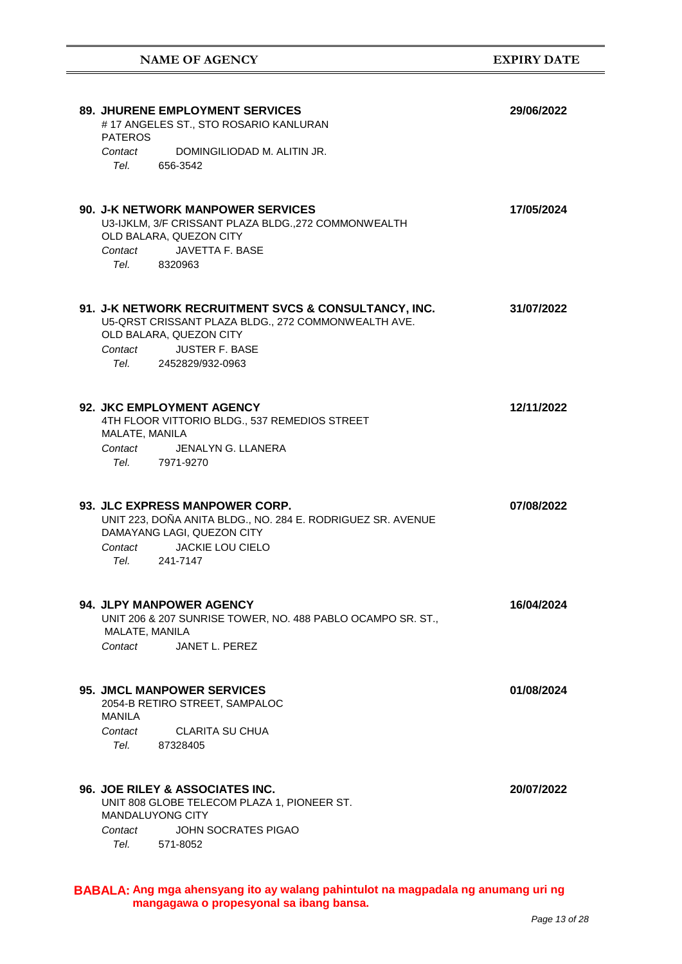| <b>89. JHURENE EMPLOYMENT SERVICES</b><br>#17 ANGELES ST., STO ROSARIO KANLURAN<br><b>PATEROS</b>                                                                                                   | 29/06/2022 |
|-----------------------------------------------------------------------------------------------------------------------------------------------------------------------------------------------------|------------|
| DOMINGILIODAD M. ALITIN JR.<br>Contact<br>Tel. 656-3542                                                                                                                                             |            |
| <b>90. J-K NETWORK MANPOWER SERVICES</b><br>U3-IJKLM, 3/F CRISSANT PLAZA BLDG., 272 COMMONWEALTH<br>OLD BALARA, QUEZON CITY<br>Contact<br>JAVETTA F. BASE<br>Tel. 8320963                           | 17/05/2024 |
| 91. J-K NETWORK RECRUITMENT SVCS & CONSULTANCY, INC.<br>U5-QRST CRISSANT PLAZA BLDG., 272 COMMONWEALTH AVE.<br>OLD BALARA, QUEZON CITY<br>Contact<br><b>JUSTER F. BASE</b><br>Tel. 2452829/932-0963 | 31/07/2022 |
| 92. JKC EMPLOYMENT AGENCY<br>4TH FLOOR VITTORIO BLDG., 537 REMEDIOS STREET<br>MALATE, MANILA<br>JENALYN G. LLANERA<br>Contact<br>Tel. 7971-9270                                                     | 12/11/2022 |
| 93. JLC EXPRESS MANPOWER CORP.<br>UNIT 223, DOÑA ANITA BLDG., NO. 284 E. RODRIGUEZ SR. AVENUE<br>DAMAYANG LAGI, QUEZON CITY<br><b>JACKIE LOU CIELO</b><br>Contact<br>Tel. 241-7147                  | 07/08/2022 |
| 94. JLPY MANPOWER AGENCY<br>UNIT 206 & 207 SUNRISE TOWER, NO. 488 PABLO OCAMPO SR. ST.,<br>MALATE, MANILA<br>Contact<br>JANET L. PEREZ                                                              | 16/04/2024 |
| <b>95. JMCL MANPOWER SERVICES</b><br>2054-B RETIRO STREET, SAMPALOC<br><b>MANILA</b><br><b>CLARITA SU CHUA</b><br>Contact<br>87328405<br>Tel.                                                       | 01/08/2024 |
| 96. JOE RILEY & ASSOCIATES INC.<br>UNIT 808 GLOBE TELECOM PLAZA 1, PIONEER ST.<br><b>MANDALUYONG CITY</b><br><b>JOHN SOCRATES PIGAO</b><br>Contact<br>Tel.<br>571-8052                              | 20/07/2022 |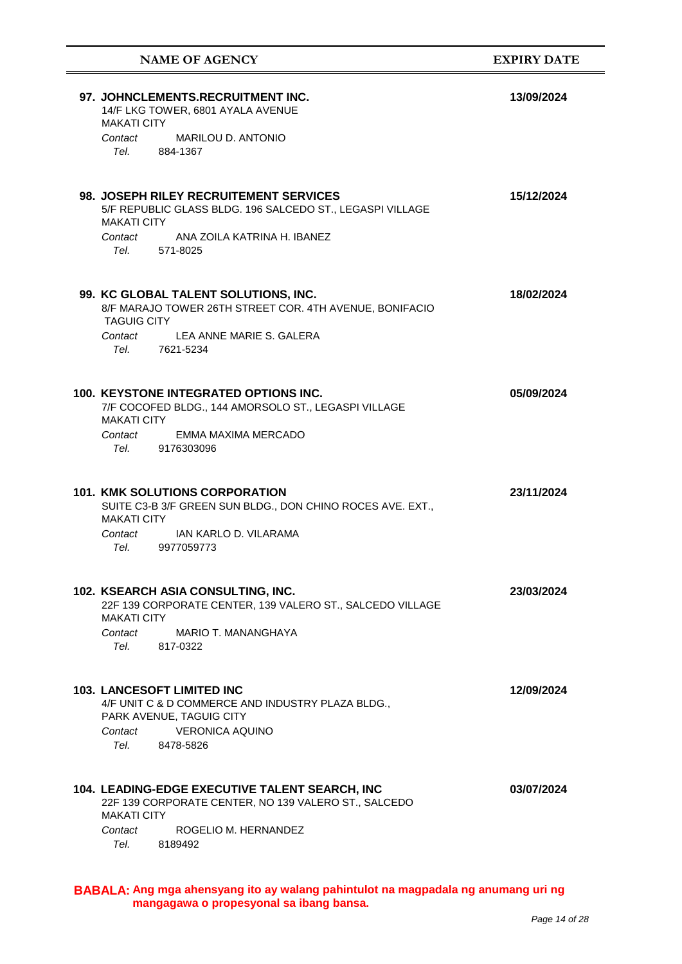| <b>NAME OF AGENCY</b>                                                                                                                                                                                                                                                                             | <b>EXPIRY DATE</b> |
|---------------------------------------------------------------------------------------------------------------------------------------------------------------------------------------------------------------------------------------------------------------------------------------------------|--------------------|
| 97. JOHNCLEMENTS.RECRUITMENT INC.<br>14/F LKG TOWER, 6801 AYALA AVENUE<br><b>MAKATI CITY</b><br><b>MARILOU D. ANTONIO</b><br>Contact<br>Tel. 884-1367                                                                                                                                             | 13/09/2024         |
| 98. JOSEPH RILEY RECRUITEMENT SERVICES<br>5/F REPUBLIC GLASS BLDG. 196 SALCEDO ST., LEGASPI VILLAGE<br><b>MAKATI CITY</b><br>ANA ZOILA KATRINA H. IBANEZ<br>Contact<br>Tel. Telection of the Telection of the Telection of the Telection of the Telection of the Telection of the Tel<br>571-8025 | 15/12/2024         |
| 99. KC GLOBAL TALENT SOLUTIONS, INC.<br>8/F MARAJO TOWER 26TH STREET COR. 4TH AVENUE, BONIFACIO<br><b>TAGUIG CITY</b><br>LEA ANNE MARIE S. GALERA<br>Contact<br>Tel. Telection of the Telection of the Telection of the Telection of the Telection of the Telection of the Tel<br>7621-5234       | 18/02/2024         |
| <b>100. KEYSTONE INTEGRATED OPTIONS INC.</b><br>7/F COCOFED BLDG., 144 AMORSOLO ST., LEGASPI VILLAGE<br><b>MAKATI CITY</b><br>Contact<br>EMMA MAXIMA MERCADO<br>Tel. Telection of the Telection of the Telection of the Telection of the Telection of the Telection of the Tel<br>9176303096      | 05/09/2024         |
| <b>101. KMK SOLUTIONS CORPORATION</b><br>SUITE C3-B 3/F GREEN SUN BLDG., DON CHINO ROCES AVE. EXT.,<br><b>MAKATI CITY</b><br>IAN KARLO D. VILARAMA<br>Contact<br>Tel.<br>9977059773                                                                                                               | 23/11/2024         |
| 102. KSEARCH ASIA CONSULTING, INC.<br>22F 139 CORPORATE CENTER, 139 VALERO ST., SALCEDO VILLAGE<br><b>MAKATI CITY</b><br><b>MARIO T. MANANGHAYA</b><br>Contact<br>817-0322<br>Tel. Teles                                                                                                          | 23/03/2024         |
| <b>103. LANCESOFT LIMITED INC</b><br>4/F UNIT C & D COMMERCE AND INDUSTRY PLAZA BLDG.,<br>PARK AVENUE, TAGUIG CITY<br><b>VERONICA AQUINO</b><br>Contact<br>Tel.<br>8478-5826                                                                                                                      | 12/09/2024         |
| 104. LEADING-EDGE EXECUTIVE TALENT SEARCH, INC<br>22F 139 CORPORATE CENTER, NO 139 VALERO ST., SALCEDO<br><b>MAKATI CITY</b><br>Contact<br>ROGELIO M. HERNANDEZ<br>Tel.<br>8189492                                                                                                                | 03/07/2024         |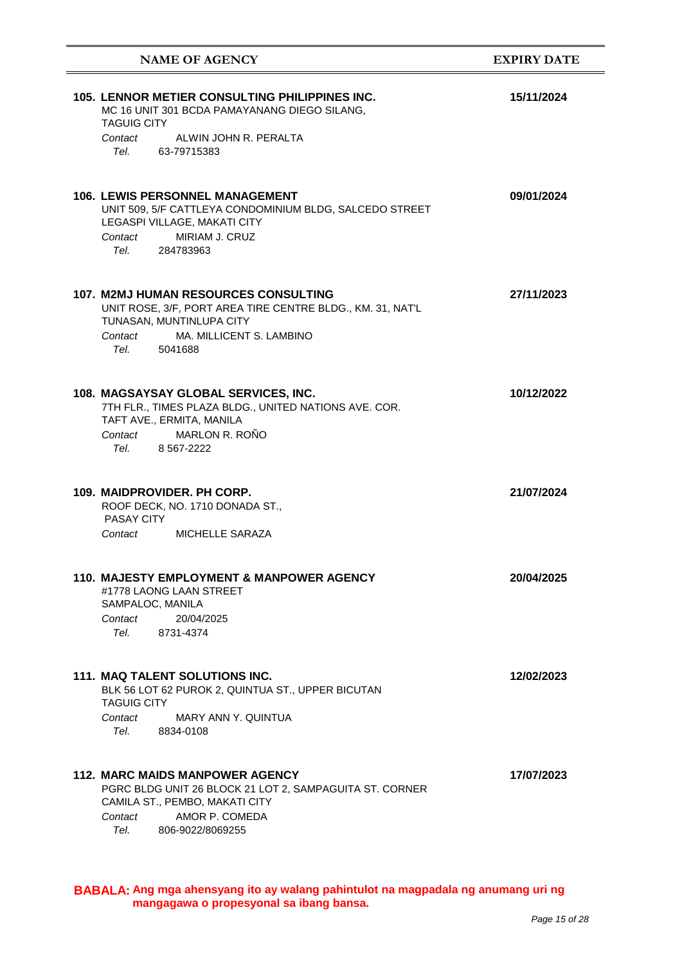| <b>NAME OF AGENCY</b>                                                                                                                                                                                                                                                                                     | <b>EXPIRY DATE</b> |
|-----------------------------------------------------------------------------------------------------------------------------------------------------------------------------------------------------------------------------------------------------------------------------------------------------------|--------------------|
| <b>105. LENNOR METIER CONSULTING PHILIPPINES INC.</b><br>MC 16 UNIT 301 BCDA PAMAYANANG DIEGO SILANG,<br><b>TAGUIG CITY</b>                                                                                                                                                                               | 15/11/2024         |
| ALWIN JOHN R. PERALTA<br>Contact<br>63-79715383<br>Tel.                                                                                                                                                                                                                                                   |                    |
| <b>106. LEWIS PERSONNEL MANAGEMENT</b><br>UNIT 509, 5/F CATTLEYA CONDOMINIUM BLDG, SALCEDO STREET<br>LEGASPI VILLAGE, MAKATI CITY<br>MIRIAM J. CRUZ<br>Contact<br>Tel.<br>284783963                                                                                                                       | 09/01/2024         |
| <b>107. M2MJ HUMAN RESOURCES CONSULTING</b><br>UNIT ROSE, 3/F, PORT AREA TIRE CENTRE BLDG., KM. 31, NAT'L<br>TUNASAN, MUNTINLUPA CITY<br>MA, MILLICENT S. LAMBINO<br>Contact<br>Tel. Telection of the Telection of the Telection of the Telection of the Telection of the Telection of the Tel<br>5041688 | 27/11/2023         |
| 108. MAGSAYSAY GLOBAL SERVICES, INC.<br>7TH FLR., TIMES PLAZA BLDG., UNITED NATIONS AVE. COR.<br>TAFT AVE., ERMITA, MANILA<br>MARLON R. ROÑO<br>Contact<br>Tel. 8 567-2222                                                                                                                                | 10/12/2022         |
| 109. MAIDPROVIDER. PH CORP.<br>ROOF DECK, NO. 1710 DONADA ST.,<br><b>PASAY CITY</b><br>MICHELLE SARAZA<br>Contact                                                                                                                                                                                         | 21/07/2024         |
| <b>110. MAJESTY EMPLOYMENT &amp; MANPOWER AGENCY</b><br>#1778 LAONG LAAN STREET<br>SAMPALOC, MANILA<br>20/04/2025<br>Contact<br>Tel.<br>8731-4374                                                                                                                                                         | 20/04/2025         |
| <b>111. MAQ TALENT SOLUTIONS INC.</b><br>BLK 56 LOT 62 PUROK 2, QUINTUA ST., UPPER BICUTAN<br><b>TAGUIG CITY</b><br><b>MARY ANN Y. QUINTUA</b><br>Contact<br>Tel.<br>8834-0108                                                                                                                            | 12/02/2023         |
| <b>112. MARC MAIDS MANPOWER AGENCY</b><br>PGRC BLDG UNIT 26 BLOCK 21 LOT 2, SAMPAGUITA ST. CORNER<br>CAMILA ST., PEMBO, MAKATI CITY<br>AMOR P. COMEDA<br>Contact<br>806-9022/8069255<br>Tel. Telection of the Telection of the Telection of the Telection of the Telection of the Telection of the Tel    | 17/07/2023         |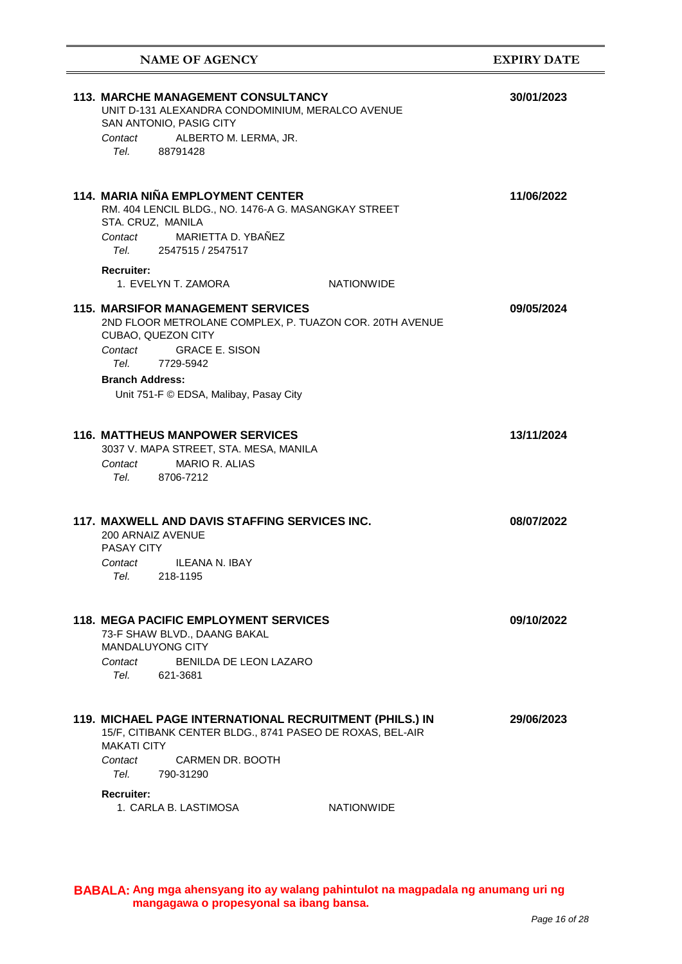| <b>NAME OF AGENCY</b>                                                                                                                                                                                                                                                                                                                                                              | <b>EXPIRY DATE</b> |
|------------------------------------------------------------------------------------------------------------------------------------------------------------------------------------------------------------------------------------------------------------------------------------------------------------------------------------------------------------------------------------|--------------------|
| <b>113. MARCHE MANAGEMENT CONSULTANCY</b><br>UNIT D-131 ALEXANDRA CONDOMINIUM, MERALCO AVENUE<br>SAN ANTONIO, PASIG CITY<br>ALBERTO M. LERMA, JR.<br>Contact<br>Tel. 88791428                                                                                                                                                                                                      | 30/01/2023         |
| 114. MARIA NIÑA EMPLOYMENT CENTER<br>RM. 404 LENCIL BLDG., NO. 1476-A G. MASANGKAY STREET<br>STA. CRUZ, MANILA<br>MARIETTA D. YBAÑEZ<br>Contact<br>Tel. 2547515 / 2547517<br><b>Recruiter:</b>                                                                                                                                                                                     | 11/06/2022         |
| 1. EVELYN T. ZAMORA<br><b>NATIONWIDE</b>                                                                                                                                                                                                                                                                                                                                           |                    |
| <b>115. MARSIFOR MANAGEMENT SERVICES</b><br>2ND FLOOR METROLANE COMPLEX, P. TUAZON COR. 20TH AVENUE<br>CUBAO, QUEZON CITY<br><b>GRACE E. SISON</b><br>Contact<br>Tel. Teles<br>7729-5942<br><b>Branch Address:</b><br>Unit 751-F © EDSA, Malibay, Pasay City                                                                                                                       | 09/05/2024         |
| <b>116. MATTHEUS MANPOWER SERVICES</b><br>3037 V. MAPA STREET, STA. MESA, MANILA<br><b>MARIO R. ALIAS</b><br>Contact<br>Tel. 8706-7212                                                                                                                                                                                                                                             | 13/11/2024         |
| 117. MAXWELL AND DAVIS STAFFING SERVICES INC.<br>200 ARNAIZ AVENUE<br><b>PASAY CITY</b><br>Contact ILEANA N. IBAY<br>Tel.<br>218-1195                                                                                                                                                                                                                                              | 08/07/2022         |
| <b>118. MEGA PACIFIC EMPLOYMENT SERVICES</b><br>73-F SHAW BLVD., DAANG BAKAL<br><b>MANDALUYONG CITY</b><br><b>BENILDA DE LEON LAZARO</b><br>Contact<br>Tel.<br>621-3681                                                                                                                                                                                                            | 09/10/2022         |
| 119. MICHAEL PAGE INTERNATIONAL RECRUITMENT (PHILS.) IN<br>15/F, CITIBANK CENTER BLDG., 8741 PASEO DE ROXAS, BEL-AIR<br><b>MAKATI CITY</b><br><b>CARMEN DR. BOOTH</b><br>Contact<br>790-31290<br>Tel. Telection of the Telection of the Telection of the Telection of the Telection of the Telection of the Tel<br><b>Recruiter:</b><br>1. CARLA B. LASTIMOSA<br><b>NATIONWIDE</b> | 29/06/2023         |
|                                                                                                                                                                                                                                                                                                                                                                                    |                    |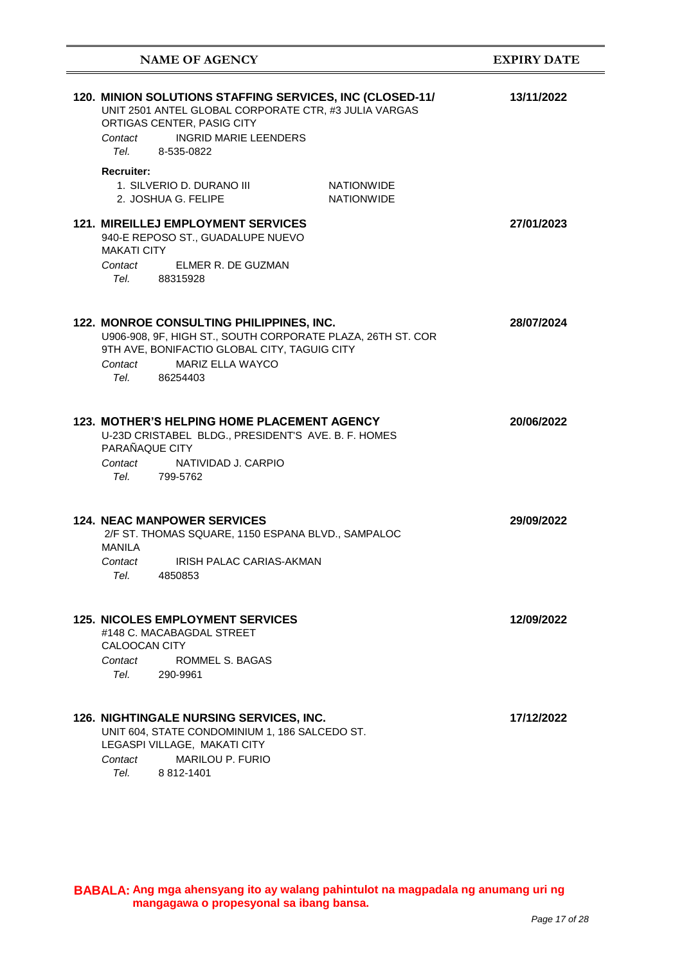| <b>NAME OF AGENCY</b>                                                                                                                                                                                                   | <b>EXPIRY DATE</b> |
|-------------------------------------------------------------------------------------------------------------------------------------------------------------------------------------------------------------------------|--------------------|
| 120. MINION SOLUTIONS STAFFING SERVICES, INC (CLOSED-11/<br>UNIT 2501 ANTEL GLOBAL CORPORATE CTR, #3 JULIA VARGAS<br>ORTIGAS CENTER, PASIG CITY<br>Contact<br><b>INGRID MARIE LEENDERS</b><br>Tel.<br>8-535-0822        | 13/11/2022         |
| <b>Recruiter:</b><br>1. SILVERIO D. DURANO III<br><b>NATIONWIDE</b><br>2. JOSHUA G. FELIPE<br><b>NATIONWIDE</b>                                                                                                         |                    |
| <b>121. MIREILLEJ EMPLOYMENT SERVICES</b><br>940-E REPOSO ST., GUADALUPE NUEVO<br><b>MAKATI CITY</b><br>ELMER R. DE GUZMAN<br>Contact<br>Tel.<br>88315928                                                               | 27/01/2023         |
| 122. MONROE CONSULTING PHILIPPINES, INC.<br>U906-908, 9F, HIGH ST., SOUTH CORPORATE PLAZA, 26TH ST. COR<br>9TH AVE, BONIFACTIO GLOBAL CITY, TAGUIG CITY<br><b>MARIZ ELLA WAYCO</b><br>Contact<br>Tel. Teles<br>86254403 | 28/07/2024         |
| <b>123. MOTHER'S HELPING HOME PLACEMENT AGENCY</b><br>U-23D CRISTABEL BLDG., PRESIDENT'S AVE. B. F. HOMES<br>PARAÑAQUE CITY<br>NATIVIDAD J. CARPIO<br>Contact<br>Tel. 799-5762                                          | 20/06/2022         |
| <b>124. NEAC MANPOWER SERVICES</b><br>2/F ST. THOMAS SQUARE, 1150 ESPANA BLVD., SAMPALOC<br><b>MANILA</b><br>Contact IRISH PALAC CARIAS-AKMAN<br>Tel.<br>4850853                                                        | 29/09/2022         |
| <b>125. NICOLES EMPLOYMENT SERVICES</b><br>#148 C. MACABAGDAL STREET<br>CALOOCAN CITY<br>ROMMEL S. BAGAS<br>Contact<br>Tel.<br>290-9961                                                                                 | 12/09/2022         |
| 126. NIGHTINGALE NURSING SERVICES, INC.<br>UNIT 604, STATE CONDOMINIUM 1, 186 SALCEDO ST.<br>LEGASPI VILLAGE, MAKATI CITY<br>MARILOU P. FURIO<br>Contact<br>Tel.<br>8 812-1401                                          | 17/12/2022         |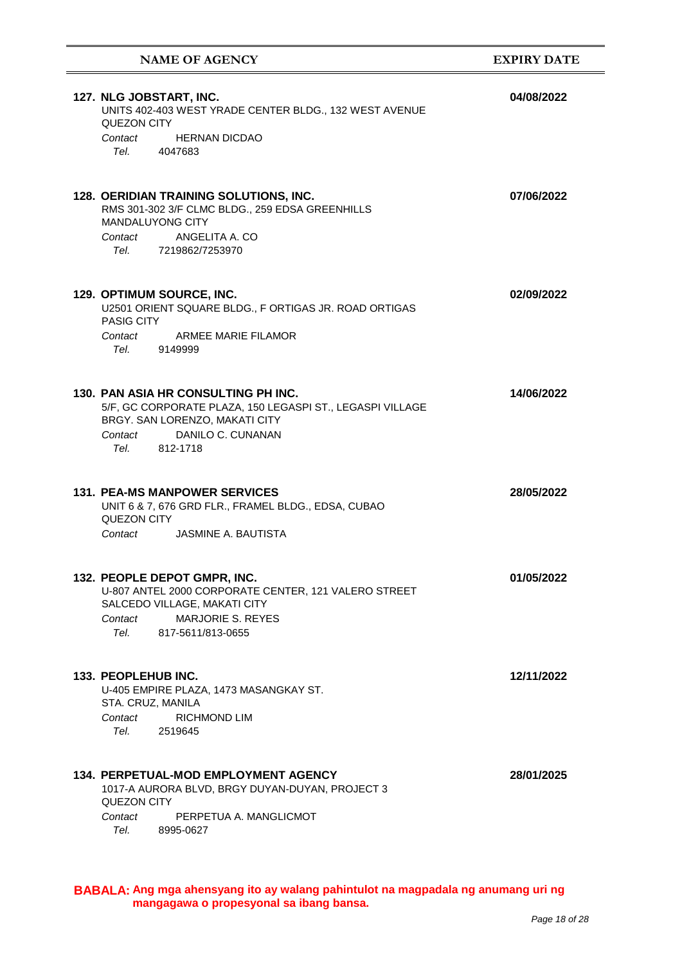| <b>NAME OF AGENCY</b>                                                                                                                                                                                                                                                   | <b>EXPIRY DAT</b> |  |
|-------------------------------------------------------------------------------------------------------------------------------------------------------------------------------------------------------------------------------------------------------------------------|-------------------|--|
| 127. NLG JOBSTART, INC.<br>UNITS 402-403 WEST YRADE CENTER BLDG., 132 WEST AVENUE<br><b>QUEZON CITY</b><br><b>HERNAN DICDAO</b><br>Contact<br>Tel. 4047683                                                                                                              | 04/08/2022        |  |
| 128. OERIDIAN TRAINING SOLUTIONS, INC.<br>RMS 301-302 3/F CLMC BLDG., 259 EDSA GREENHILLS<br><b>MANDALUYONG CITY</b><br>ANGELITA A. CO<br>Contact<br>Tel. 7219862/7253970                                                                                               | 07/06/2022        |  |
| 129. OPTIMUM SOURCE, INC.<br>U2501 ORIENT SQUARE BLDG., F ORTIGAS JR. ROAD ORTIGAS<br><b>PASIG CITY</b><br>ARMEE MARIE FII AMOR<br>Contact<br>Tel. Telection of the Telection of the Telection of the Telection of the Telection of the Telection of the Tel<br>9149999 | 02/09/2022        |  |
| 130. PAN ASIA HR CONSULTING PH INC.<br>5/F, GC CORPORATE PLAZA, 150 LEGASPI ST., LEGASPI VILLAGE<br>BRGY. SAN LORENZO, MAKATI CITY                                                                                                                                      | 14/06/2022        |  |

812-1718 *Contact* DANILO C. CUNANAN *Tel.* 

## **PEA-MS MANPOWER SERVICES 131. 28/05/2022** UNIT 6 & 7, 676 GRD FLR., FRAMEL BLDG., EDSA, CUBAO QUEZON CITY

*Contact* JASMINE A. BAUTISTA

|         | <b>132. PEOPLE DEPOT GMPR, INC.</b>                  | 01/05/2022 |
|---------|------------------------------------------------------|------------|
|         | U-807 ANTEL 2000 CORPORATE CENTER, 121 VALERO STREET |            |
|         | SALCEDO VILLAGE, MAKATI CITY                         |            |
| Contact | MARJORIE S. REYES                                    |            |
| Tel.    | 817-5611/813-0655                                    |            |
|         |                                                      |            |

#### **PEOPLEHUB INC. 133. 12/11/2022** U-405 EMPIRE PLAZA, 1473 MASANGKAY ST. STA. CRUZ, MANILA 2519645 *Contact* RICHMOND LIM *Tel.*

## **PERPETUAL-MOD EMPLOYMENT AGENCY 134. 28/01/2025** 1017-A AURORA BLVD, BRGY DUYAN-DUYAN, PROJECT 3 QUEZON CITY *Contact* PERPETUA A. MANGLICMOT

8995-0627 *Tel.* 

BABALA: Ang mga ahensyang ito ay walang pahintulot na magpadala ng anumang uri ng **mangagawa o propesyonal sa ibang bansa.**

**EXPIRY DATE**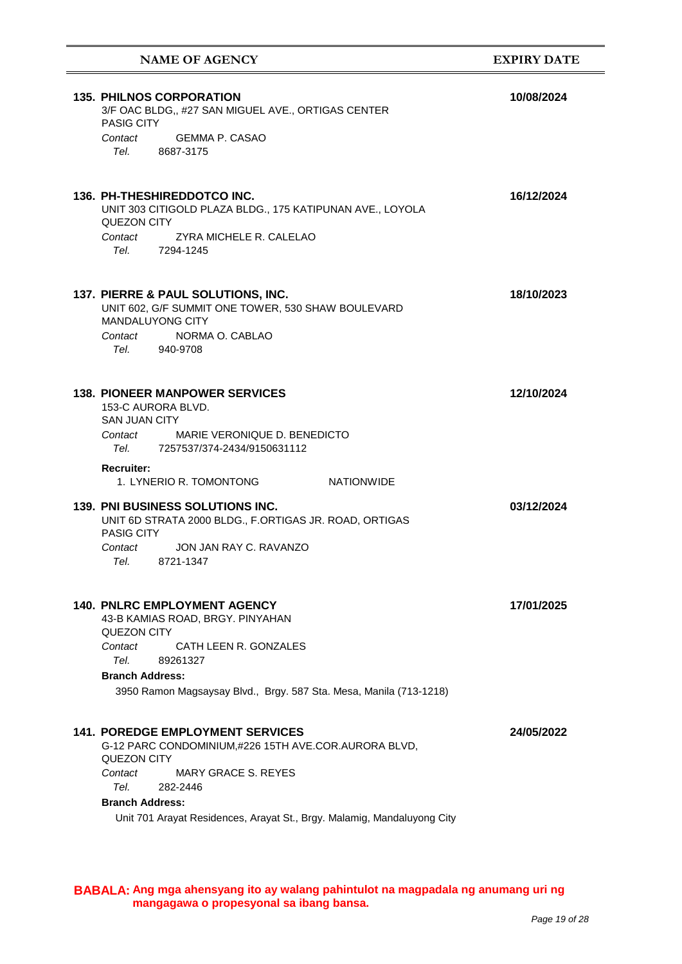# **NAME OF AGENCY EXPIRY DATE PHILNOS CORPORATION 135. 10/08/2024** 3/F OAC BLDG,, #27 SAN MIGUEL AVE., ORTIGAS CENTER PASIG CITY 8687-3175 *Contact* GEMMA P. CASAO *Tel.*  **PH-THESHIREDDOTCO INC. 136. 16/12/2024** UNIT 303 CITIGOLD PLAZA BLDG., 175 KATIPUNAN AVE., LOYOLA QUEZON CITY 7294-1245 *Contact* ZYRA MICHELE R. CALELAO *Tel.*  **PIERRE & PAUL SOLUTIONS, INC. 137. 18/10/2023** UNIT 602, G/F SUMMIT ONE TOWER, 530 SHAW BOULEVARD MANDALUYONG CITY 940-9708 *Contact* NORMA O. CABLAO *Tel.*  **PIONEER MANPOWER SERVICES 138. 12/10/2024** 153-C AURORA BLVD. SAN JUAN CITY 7257537/374-2434/9150631112 MARIE VERONIQUE D. BENEDICTO **Recruiter:**  *Contact Tel.*  1. LYNERIO R. TOMONTONG NATIONWIDE **PNI BUSINESS SOLUTIONS INC. 139. 03/12/2024** UNIT 6D STRATA 2000 BLDG., F.ORTIGAS JR. ROAD, ORTIGAS PASIG CITY 8721-1347 *Contact* JON JAN RAY C. RAVANZO *Tel.*  **PNLRC EMPLOYMENT AGENCY 140. 17/01/2025** 43-B KAMIAS ROAD, BRGY. PINYAHAN QUEZON CITY 89261327 CATH LEEN R. GONZALES 3950 Ramon Magsaysay Blvd., Brgy. 587 Sta. Mesa, Manila (713-1218) **Branch Address:**  *Contact Tel.*  **POREDGE EMPLOYMENT SERVICES 141. 24/05/2022** G-12 PARC CONDOMINIUM,#226 15TH AVE.COR.AURORA BLVD, QUEZON CITY 282-2446 MARY GRACE S. REYES **Branch Address:**  *Contact Tel.*

Unit 701 Arayat Residences, Arayat St., Brgy. Malamig, Mandaluyong City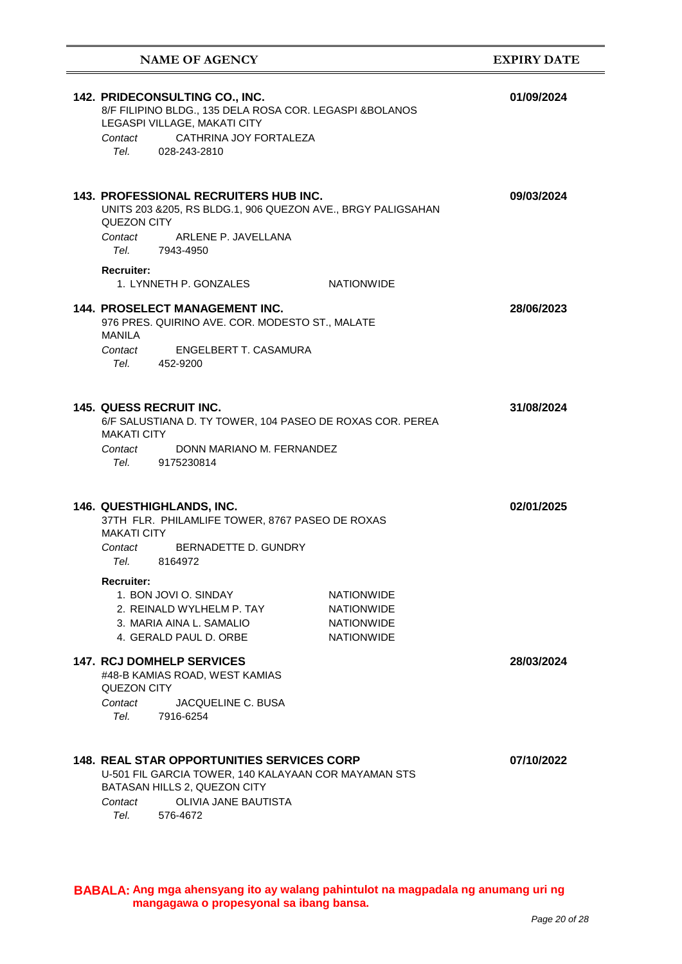| <b>NAME OF AGENCY</b>                                                                                                                                                                                                                                                                                                                                                      | <b>EXPIRY DATE</b> |
|----------------------------------------------------------------------------------------------------------------------------------------------------------------------------------------------------------------------------------------------------------------------------------------------------------------------------------------------------------------------------|--------------------|
| 142. PRIDECONSULTING CO., INC.<br>8/F FILIPINO BLDG., 135 DELA ROSA COR. LEGASPI &BOLANOS<br>LEGASPI VILLAGE, MAKATI CITY<br>CATHRINA JOY FORTALEZA<br>Contact<br>Tel. Telection of the Telection of the Telection of the Telection of the Telection of the Telection of the Tel<br>028-243-2810                                                                           | 01/09/2024         |
| <b>143. PROFESSIONAL RECRUITERS HUB INC.</b><br>UNITS 203 & 205, RS BLDG.1, 906 QUEZON AVE., BRGY PALIGSAHAN<br>QUEZON CITY<br>Contact<br>ARLENE P. JAVELLANA<br>Tel. 7943-4950<br><b>Recruiter:</b><br>1. LYNNETH P. GONZALES<br><b>NATIONWIDE</b>                                                                                                                        | 09/03/2024         |
| <b>144. PROSELECT MANAGEMENT INC.</b><br>976 PRES. QUIRINO AVE. COR. MODESTO ST., MALATE<br>MANILA<br>ENGELBERT T. CASAMURA<br>Contact<br>Tel.<br>452-9200                                                                                                                                                                                                                 | 28/06/2023         |
| <b>145. QUESS RECRUIT INC.</b><br>6/F SALUSTIANA D. TY TOWER, 104 PASEO DE ROXAS COR. PEREA<br><b>MAKATI CITY</b><br>DONN MARIANO M. FERNANDEZ<br>Contact<br>Tel.<br>9175230814                                                                                                                                                                                            | 31/08/2024         |
| 146. QUESTHIGHLANDS, INC.<br>37TH FLR. PHILAMLIFE TOWER, 8767 PASEO DE ROXAS<br><b>MAKATI CITY</b><br>BERNADETTE D. GUNDRY<br>Contact<br>Tel. 8164972<br><b>Recruiter:</b><br>1. BON JOVI O. SINDAY<br><b>NATIONWIDE</b><br>2. REINALD WYLHELM P. TAY<br><b>NATIONWIDE</b><br>3. MARIA AINA L. SAMALIO<br><b>NATIONWIDE</b><br>4. GERALD PAUL D. ORBE<br><b>NATIONWIDE</b> | 02/01/2025         |
| <b>147. RCJ DOMHELP SERVICES</b><br>#48-B KAMIAS ROAD, WEST KAMIAS<br>QUEZON CITY<br><b>JACQUELINE C. BUSA</b><br>Contact<br>Tel.<br>7916-6254                                                                                                                                                                                                                             | 28/03/2024         |
| <b>148. REAL STAR OPPORTUNITIES SERVICES CORP</b><br>U-501 FIL GARCIA TOWER, 140 KALAYAAN COR MAYAMAN STS<br>BATASAN HILLS 2, QUEZON CITY<br>OLIVIA JANE BAUTISTA<br>Contact<br>Tel.<br>576-4672                                                                                                                                                                           | 07/10/2022         |

÷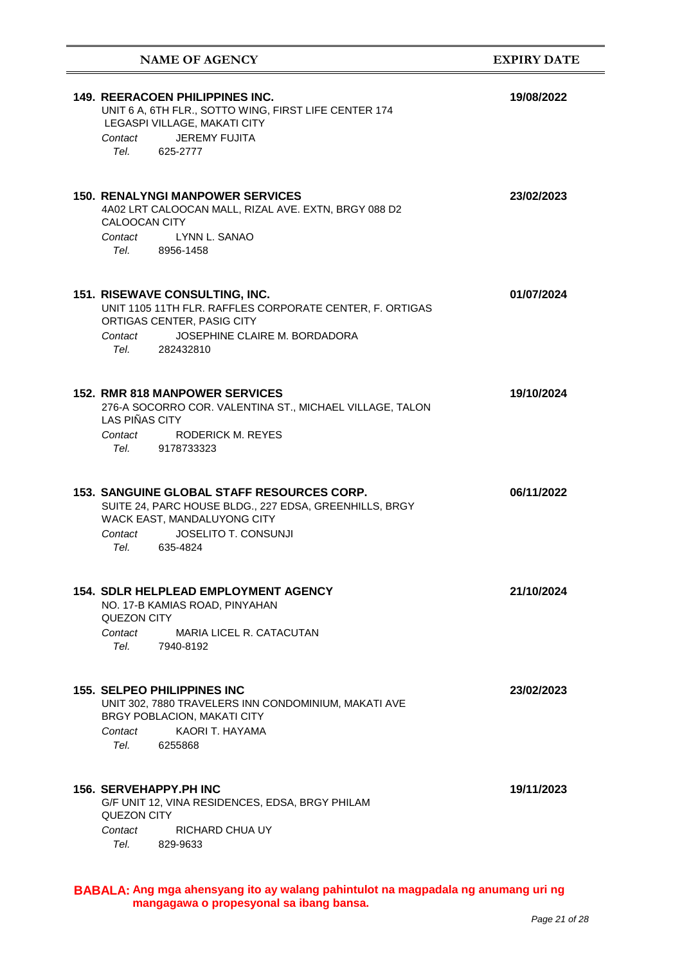| <b>NAME OF AGENCY</b>                                                                                                                                                                                                                                                                                       | <b>EXPIRY DATE</b> |
|-------------------------------------------------------------------------------------------------------------------------------------------------------------------------------------------------------------------------------------------------------------------------------------------------------------|--------------------|
| <b>149. REERACOEN PHILIPPINES INC.</b><br>UNIT 6 A, 6TH FLR., SOTTO WING, FIRST LIFE CENTER 174<br>LEGASPI VILLAGE, MAKATI CITY<br><b>JEREMY FUJITA</b><br>Contact<br>Tel. 625-2777                                                                                                                         | 19/08/2022         |
| <b>150. RENALYNGI MANPOWER SERVICES</b><br>4A02 LRT CALOOCAN MALL, RIZAL AVE. EXTN, BRGY 088 D2<br>CALOOCAN CITY<br>Contact LYNN L. SANAO<br>Tel. 8956-1458                                                                                                                                                 | 23/02/2023         |
| 151. RISEWAVE CONSULTING, INC.<br>UNIT 1105 11TH FLR. RAFFLES CORPORATE CENTER, F. ORTIGAS<br>ORTIGAS CENTER, PASIG CITY<br>JOSEPHINE CLAIRE M. BORDADORA<br>Contact<br>Tel. 282432810                                                                                                                      | 01/07/2024         |
| <b>152. RMR 818 MANPOWER SERVICES</b><br>276-A SOCORRO COR. VALENTINA ST., MICHAEL VILLAGE, TALON<br>LAS PIÑAS CITY<br><b>RODERICK M. REYES</b><br>Contact<br>Tel. 9178733323                                                                                                                               | 19/10/2024         |
| <b>153. SANGUINE GLOBAL STAFF RESOURCES CORP.</b><br>SUITE 24, PARC HOUSE BLDG., 227 EDSA, GREENHILLS, BRGY<br>WACK EAST, MANDALUYONG CITY<br>JOSELITO T. CONSUNJI<br>Contact<br>Tel. Telection of the Telection of the Telection of the Telection of the Telection of the Telection of the Tel<br>635-4824 | 06/11/2022         |
| <b>154. SDLR HELPLEAD EMPLOYMENT AGENCY</b><br>NO. 17-B KAMIAS ROAD, PINYAHAN<br>QUEZON CITY<br><b>MARIA LICEL R. CATACUTAN</b><br>Contact<br>Tel.<br>7940-8192                                                                                                                                             | 21/10/2024         |
| <b>155. SELPEO PHILIPPINES INC</b><br>UNIT 302, 7880 TRAVELERS INN CONDOMINIUM, MAKATI AVE<br>BRGY POBLACION, MAKATI CITY<br>KAORI T. HAYAMA<br>Contact<br>Tel. Telection of the Telection of the Telection of the Telection of the Telection of the Telection of the Tel<br>6255868                        | 23/02/2023         |
| <b>156. SERVEHAPPY.PH INC</b><br>G/F UNIT 12, VINA RESIDENCES, EDSA, BRGY PHILAM<br>QUEZON CITY<br>RICHARD CHUA UY<br>Contact<br>Tel. Telection of the Telection of the Telection of the Telection of the Telection of the Telection of the Tel<br>829-9633                                                 | 19/11/2023         |

÷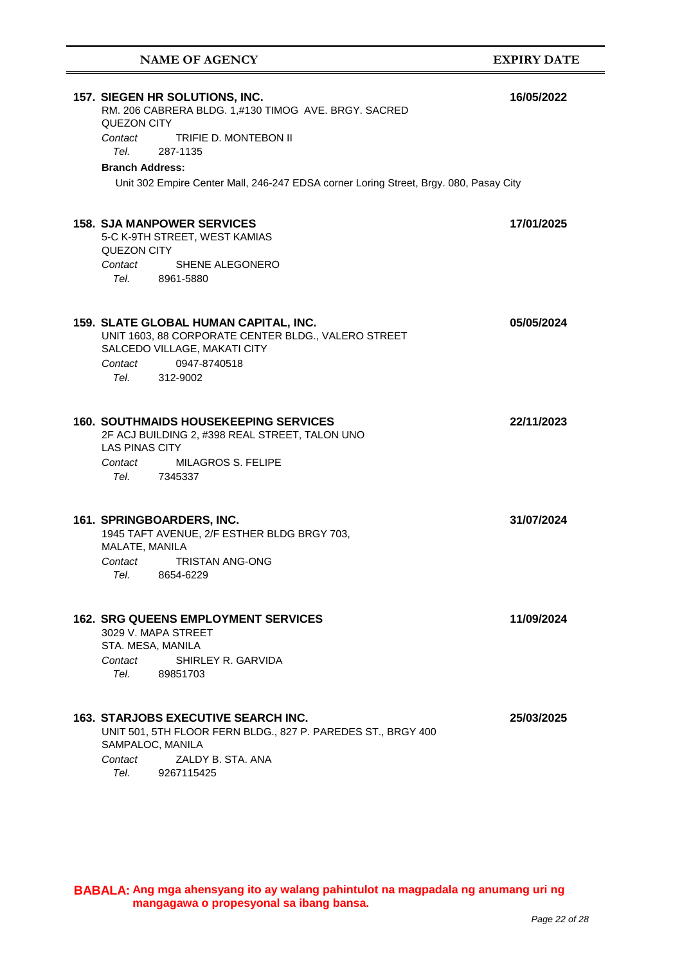# **NAME OF AGENCY EXPIRY DATE**

| 157. SIEGEN HR SOLUTIONS, INC.<br>RM. 206 CABRERA BLDG. 1,#130 TIMOG AVE. BRGY. SACRED<br>QUEZON CITY                                                                                      | 16/05/2022 |
|--------------------------------------------------------------------------------------------------------------------------------------------------------------------------------------------|------------|
| Contact<br>TRIFIE D. MONTEBON II<br>287-1135<br>Tel. Telection of the Telection of the Telection of the Telection of the Telection of the Telection of the Tel                             |            |
| <b>Branch Address:</b>                                                                                                                                                                     |            |
| Unit 302 Empire Center Mall, 246-247 EDSA corner Loring Street, Brgy. 080, Pasay City                                                                                                      |            |
| <b>158. SJA MANPOWER SERVICES</b><br>5-C K-9TH STREET, WEST KAMIAS<br>QUEZON CITY<br>SHENE ALEGONERO<br>Contact<br>Tel. 8961-5880                                                          | 17/01/2025 |
| 159. SLATE GLOBAL HUMAN CAPITAL, INC.<br>UNIT 1603, 88 CORPORATE CENTER BLDG., VALERO STREET<br>SALCEDO VILLAGE, MAKATI CITY<br>Contact 0947-8740518<br>Tel.<br>312-9002                   | 05/05/2024 |
| <b>160. SOUTHMAIDS HOUSEKEEPING SERVICES</b><br>2F ACJ BUILDING 2, #398 REAL STREET, TALON UNO<br><b>LAS PINAS CITY</b><br><b>MILAGROS S. FELIPE</b><br>Contact<br>Tel. 7345337            | 22/11/2023 |
| 161. SPRINGBOARDERS, INC.<br>1945 TAFT AVENUE, 2/F ESTHER BLDG BRGY 703,<br>MALATE, MANILA<br>Contact<br><b>TRISTAN ANG-ONG</b><br>Tel. 8654-6229                                          | 31/07/2024 |
| <b>162. SRG QUEENS EMPLOYMENT SERVICES</b><br>3029 V. MAPA STREET<br>STA. MESA, MANILA<br>SHIRLEY R. GARVIDA<br>Contact<br>Tel.<br>89851703                                                | 11/09/2024 |
| <b>163. STARJOBS EXECUTIVE SEARCH INC.</b><br>UNIT 501, 5TH FLOOR FERN BLDG., 827 P. PAREDES ST., BRGY 400<br>SAMPALOC, MANILA<br>ZALDY B. STA. ANA<br>Contact<br>Tel. Teles<br>9267115425 | 25/03/2025 |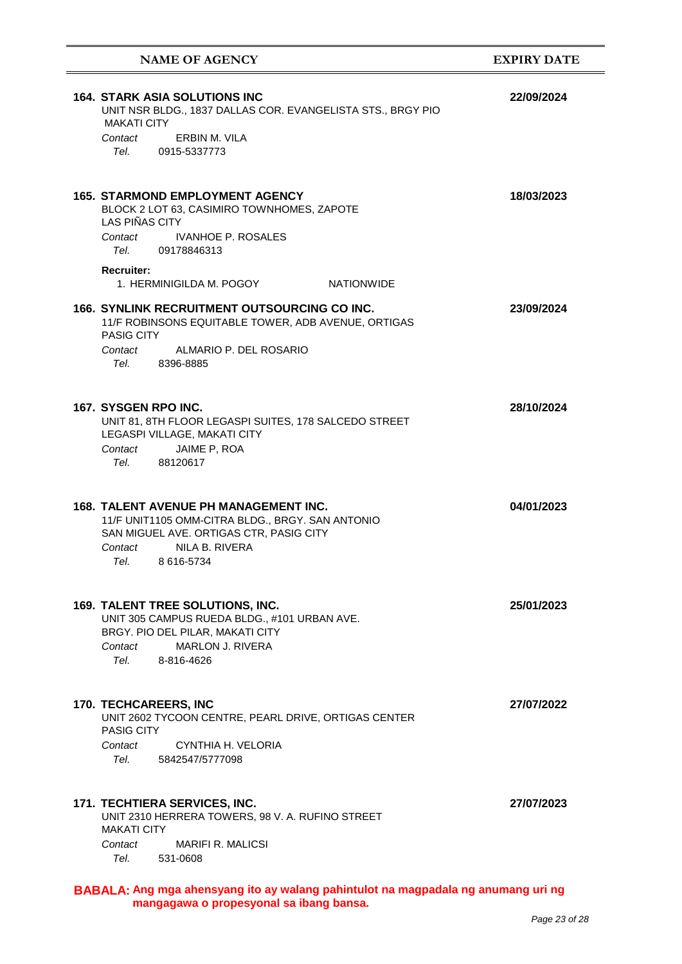| <b>NAME OF AGENCY</b>                                                                                                                                                                                                                                                  | <b>EXPIRY DATE</b> |
|------------------------------------------------------------------------------------------------------------------------------------------------------------------------------------------------------------------------------------------------------------------------|--------------------|
| <b>164. STARK ASIA SOLUTIONS INC</b><br>UNIT NSR BLDG., 1837 DALLAS COR. EVANGELISTA STS., BRGY PIO<br><b>MAKATI CITY</b>                                                                                                                                              | 22/09/2024         |
| ERBIN M. VILA<br>Contact<br>Tel. 0915-5337773                                                                                                                                                                                                                          |                    |
| <b>165. STARMOND EMPLOYMENT AGENCY</b><br>BLOCK 2 LOT 63, CASIMIRO TOWNHOMES, ZAPOTE<br><b>LAS PIÑAS CITY</b><br><b>IVANHOE P. ROSALES</b><br>Contact                                                                                                                  | 18/03/2023         |
| Tel. Telection of the Telection of the Telection of the Telection of the Telection of the Telection of the Tel<br>09178846313<br><b>Recruiter:</b>                                                                                                                     |                    |
| 1. HERMINIGILDA M. POGOY<br><b>NATIONWIDE</b><br><b>166. SYNLINK RECRUITMENT OUTSOURCING CO INC.</b><br>11/F ROBINSONS EQUITABLE TOWER, ADB AVENUE, ORTIGAS<br><b>PASIG CITY</b>                                                                                       | 23/09/2024         |
| Contact<br>ALMARIO P. DEL ROSARIO<br>Tel.<br>8396-8885                                                                                                                                                                                                                 |                    |
| 167. SYSGEN RPO INC.<br>UNIT 81, 8TH FLOOR LEGASPI SUITES, 178 SALCEDO STREET<br>LEGASPI VILLAGE, MAKATI CITY<br>Contact<br>JAIME P, ROA<br>Tel. Telection of the Telection of the Telection of the Telection of the Telection of the Telection of the Tel<br>88120617 | 28/10/2024         |
| <b>168. TALENT AVENUE PH MANAGEMENT INC.</b><br>11/F UNIT1105 OMM-CITRA BLDG., BRGY. SAN ANTONIO<br>SAN MIGUEL AVE. ORTIGAS CTR, PASIG CITY<br>NILA B. RIVERA<br>Contact<br>Tel.<br>8 616-5734                                                                         | 04/01/2023         |
| 169. TALENT TREE SOLUTIONS, INC.<br>UNIT 305 CAMPUS RUEDA BLDG., #101 URBAN AVE.<br>BRGY. PIO DEL PILAR, MAKATI CITY<br>MARLON J. RIVERA<br>Contact<br>Tel.<br>8-816-4626                                                                                              | 25/01/2023         |
| 170. TECHCAREERS, INC<br>UNIT 2602 TYCOON CENTRE, PEARL DRIVE, ORTIGAS CENTER<br>PASIG CITY<br>Contact<br>CYNTHIA H. VELORIA<br>Tel.<br>5842547/5777098                                                                                                                | 27/07/2022         |
| 171. TECHTIERA SERVICES, INC.<br>UNIT 2310 HERRERA TOWERS, 98 V. A. RUFINO STREET<br><b>MAKATI CITY</b><br><b>MARIFI R. MALICSI</b><br>Contact<br>Tel.<br>531-0608                                                                                                     | 27/07/2023         |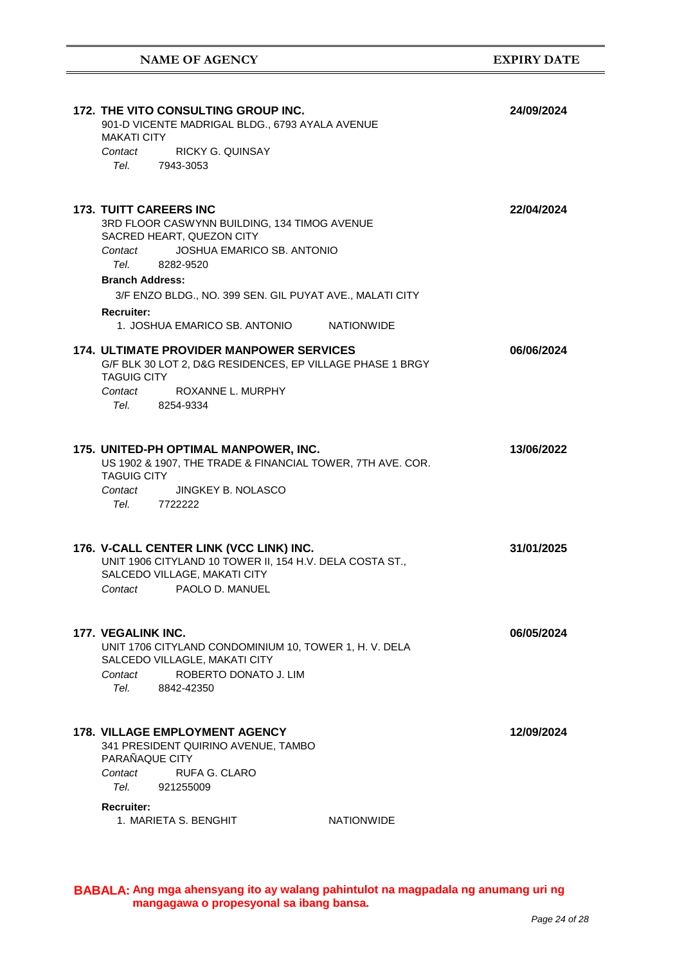| 172. THE VITO CONSULTING GROUP INC.<br>901-D VICENTE MADRIGAL BLDG., 6793 AYALA AVENUE<br><b>MAKATI CITY</b><br>RICKY G. QUINSAY<br>Contact<br>Tel. 7943-3053                                                                                                                                                                                   | 24/09/2024 |
|-------------------------------------------------------------------------------------------------------------------------------------------------------------------------------------------------------------------------------------------------------------------------------------------------------------------------------------------------|------------|
| <b>173. TUITT CAREERS INC</b><br>3RD FLOOR CASWYNN BUILDING, 134 TIMOG AVENUE<br>SACRED HEART, QUEZON CITY<br>JOSHUA EMARICO SB. ANTONIO<br>Contact<br>Tel. Teles<br>8282-9520<br><b>Branch Address:</b><br>3/F ENZO BLDG., NO. 399 SEN. GIL PUYAT AVE., MALATI CITY<br><b>Recruiter:</b><br>1. JOSHUA EMARICO SB. ANTONIO<br><b>NATIONWIDE</b> | 22/04/2024 |
| <b>174. ULTIMATE PROVIDER MANPOWER SERVICES</b><br>G/F BLK 30 LOT 2, D&G RESIDENCES, EP VILLAGE PHASE 1 BRGY<br><b>TAGUIG CITY</b><br>Contact ROXANNE L. MURPHY<br>Tel. 8254-9334                                                                                                                                                               | 06/06/2024 |
| 175. UNITED-PH OPTIMAL MANPOWER, INC.<br>US 1902 & 1907, THE TRADE & FINANCIAL TOWER, 7TH AVE. COR.<br><b>TAGUIG CITY</b><br>Contact<br>JINGKEY B. NOLASCO<br>Tel. 7722222                                                                                                                                                                      | 13/06/2022 |
| 176. V-CALL CENTER LINK (VCC LINK) INC.<br>UNIT 1906 CITYLAND 10 TOWER II, 154 H.V. DELA COSTA ST.,<br>SALCEDO VILLAGE, MAKATI CITY<br>PAOLO D. MANUEL<br>Contact                                                                                                                                                                               | 31/01/2025 |
| <b>177. VEGALINK INC.</b><br>UNIT 1706 CITYLAND CONDOMINIUM 10, TOWER 1, H. V. DELA<br>SALCEDO VILLAGLE, MAKATI CITY<br>ROBERTO DONATO J. LIM<br>Contact<br>Tel. Teles<br>8842-42350                                                                                                                                                            | 06/05/2024 |
| <b>178. VILLAGE EMPLOYMENT AGENCY</b><br>341 PRESIDENT QUIRINO AVENUE, TAMBO<br>PARAÑAQUE CITY<br>Contact<br>RUFA G. CLARO<br>Tel. Teles<br>921255009<br><b>Recruiter:</b>                                                                                                                                                                      | 12/09/2024 |
| 1. MARIETA S. BENGHIT<br><b>NATIONWIDE</b>                                                                                                                                                                                                                                                                                                      |            |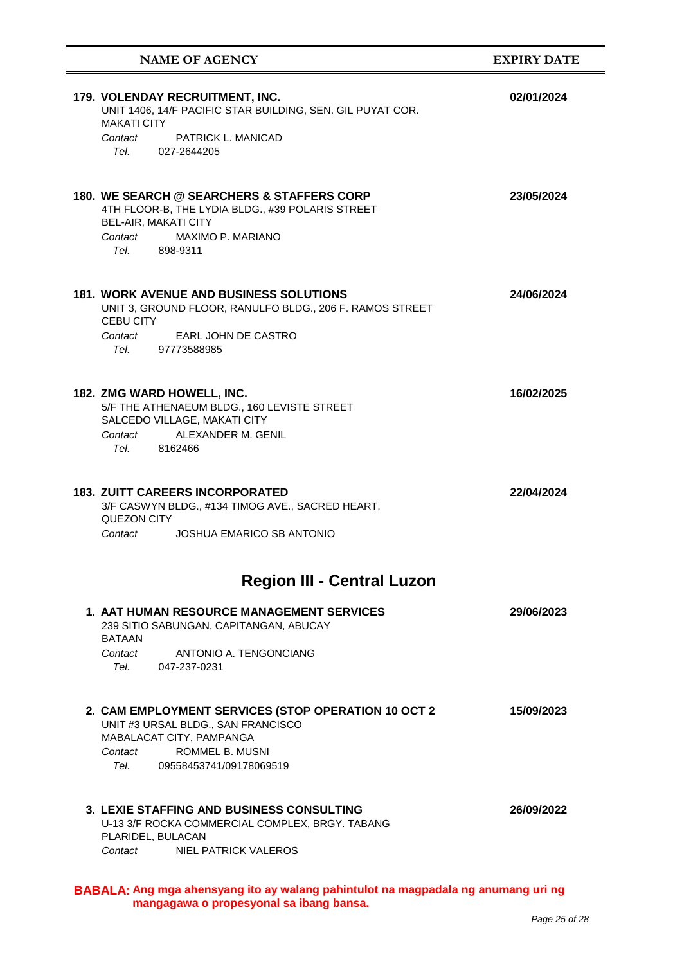| <b>NAME OF AGENCY</b>                                                                                                                                                                   | <b>EXPIRY DATE</b> |
|-----------------------------------------------------------------------------------------------------------------------------------------------------------------------------------------|--------------------|
| 179. VOLENDAY RECRUITMENT, INC.<br>UNIT 1406, 14/F PACIFIC STAR BUILDING, SEN. GIL PUYAT COR.<br><b>MAKATI CITY</b>                                                                     | 02/01/2024         |
| <b>PATRICK L. MANICAD</b><br>Contact<br>Tel. 027-2644205                                                                                                                                |                    |
| 180. WE SEARCH @ SEARCHERS & STAFFERS CORP<br>4TH FLOOR-B, THE LYDIA BLDG., #39 POLARIS STREET<br><b>BEL-AIR, MAKATI CITY</b><br>MAXIMO P. MARIANO<br>Contact<br>Tel. Teles<br>898-9311 | 23/05/2024         |
| <b>181. WORK AVENUE AND BUSINESS SOLUTIONS</b><br>UNIT 3, GROUND FLOOR, RANULFO BLDG., 206 F. RAMOS STREET<br><b>CEBU CITY</b><br>EARL JOHN DE CASTRO<br>Contact<br>Tel.<br>97773588985 | 24/06/2024         |
| 182. ZMG WARD HOWELL, INC.<br>5/F THE ATHENAEUM BLDG., 160 LEVISTE STREET<br>SALCEDO VILLAGE, MAKATI CITY<br>ALEXANDER M. GENIL<br>Contact<br>Tel. 8162466                              | 16/02/2025         |
| <b>183. ZUITT CAREERS INCORPORATED</b><br>3/F CASWYN BLDG., #134 TIMOG AVE., SACRED HEART,<br>QUEZON CITY<br>Contact<br>JOSHUA EMARICO SB ANTONIO                                       | 22/04/2024         |
| <b>Region III - Central Luzon</b>                                                                                                                                                       |                    |
| <b>1. AAT HUMAN RESOURCE MANAGEMENT SERVICES</b><br>239 SITIO SABUNGAN, CAPITANGAN, ABUCAY<br><b>BATAAN</b><br>ANTONIO A. TENGONCIANG<br>Contact<br>Tel. 047-237-0231                   | 29/06/2023         |
| 2. CAM EMPLOYMENT SERVICES (STOP OPERATION 10 OCT 2<br>UNIT #3 URSAL BLDG., SAN FRANCISCO<br>MABALACAT CITY, PAMPANGA<br>ROMMEL B. MUSNI<br>Contact<br>Tel.<br>09558453741/09178069519  | 15/09/2023         |
| 3. LEXIE STAFFING AND BUSINESS CONSULTING<br>U-13 3/F ROCKA COMMERCIAL COMPLEX, BRGY. TABANG<br>PLARIDEL, BULACAN<br>Contact<br>NIEL PATRICK VALEROS                                    | 26/09/2022         |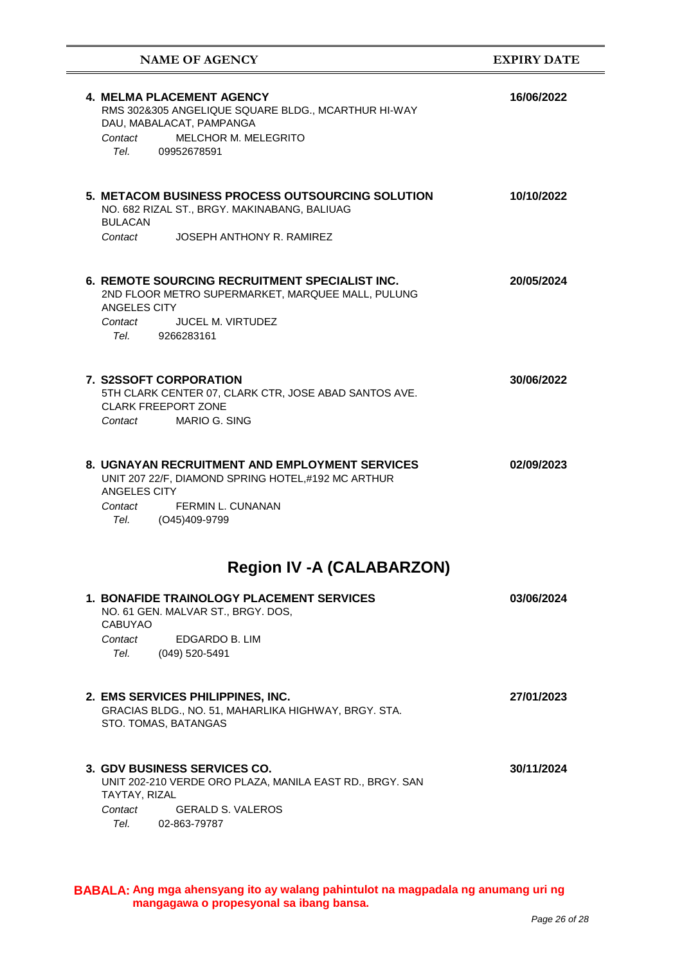| <b>NAME OF AGENCY</b>                                                                                                                                                                      | <b>EXPIRY DATE</b> |
|--------------------------------------------------------------------------------------------------------------------------------------------------------------------------------------------|--------------------|
| <b>4. MELMA PLACEMENT AGENCY</b><br>RMS 302&305 ANGELIQUE SQUARE BLDG., MCARTHUR HI-WAY<br>DAU, MABALACAT, PAMPANGA<br><b>MELCHOR M. MELEGRITO</b><br>Contact<br>Tel. 09952678591          | 16/06/2022         |
| 5. METACOM BUSINESS PROCESS OUTSOURCING SOLUTION<br>NO. 682 RIZAL ST., BRGY. MAKINABANG, BALIUAG<br><b>BULACAN</b><br>Contact<br>JOSEPH ANTHONY R. RAMIREZ                                 | 10/10/2022         |
| 6. REMOTE SOURCING RECRUITMENT SPECIALIST INC.<br>2ND FLOOR METRO SUPERMARKET, MARQUEE MALL, PULUNG<br>ANGELES CITY<br><b>JUCEL M. VIRTUDEZ</b><br>Contact<br>Tel. 9266283161              | 20/05/2024         |
| 7. S2SSOFT CORPORATION<br>5TH CLARK CENTER 07, CLARK CTR, JOSE ABAD SANTOS AVE.<br><b>CLARK FREEPORT ZONE</b><br>Contact MARIO G. SING                                                     | 30/06/2022         |
| <b>8. UGNAYAN RECRUITMENT AND EMPLOYMENT SERVICES</b><br>UNIT 207 22/F, DIAMOND SPRING HOTEL,#192 MC ARTHUR<br>ANGELES CITY<br>Contact<br>FERMIN L. CUNANAN<br>Tel. Teles<br>(O45)409-9799 | 02/09/2023         |
| <b>Region IV - A (CALABARZON)</b>                                                                                                                                                          |                    |
| <b>1. BONAFIDE TRAINOLOGY PLACEMENT SERVICES</b><br>NO. 61 GEN. MALVAR ST., BRGY. DOS,<br><b>CABUYAO</b><br>Contact<br>EDGARDO B. LIM<br>Tel.<br>(049) 520-5491                            | 03/06/2024         |
| 2. EMS SERVICES PHILIPPINES, INC.<br>GRACIAS BLDG., NO. 51, MAHARLIKA HIGHWAY, BRGY. STA.<br>STO. TOMAS, BATANGAS                                                                          | 27/01/2023         |
| 3. GDV BUSINESS SERVICES CO.<br>UNIT 202-210 VERDE ORO PLAZA, MANILA EAST RD., BRGY. SAN<br>TAYTAY, RIZAL<br><b>GERALD S. VALEROS</b><br>Contact<br>02-863-79787<br>Tel.                   | 30/11/2024         |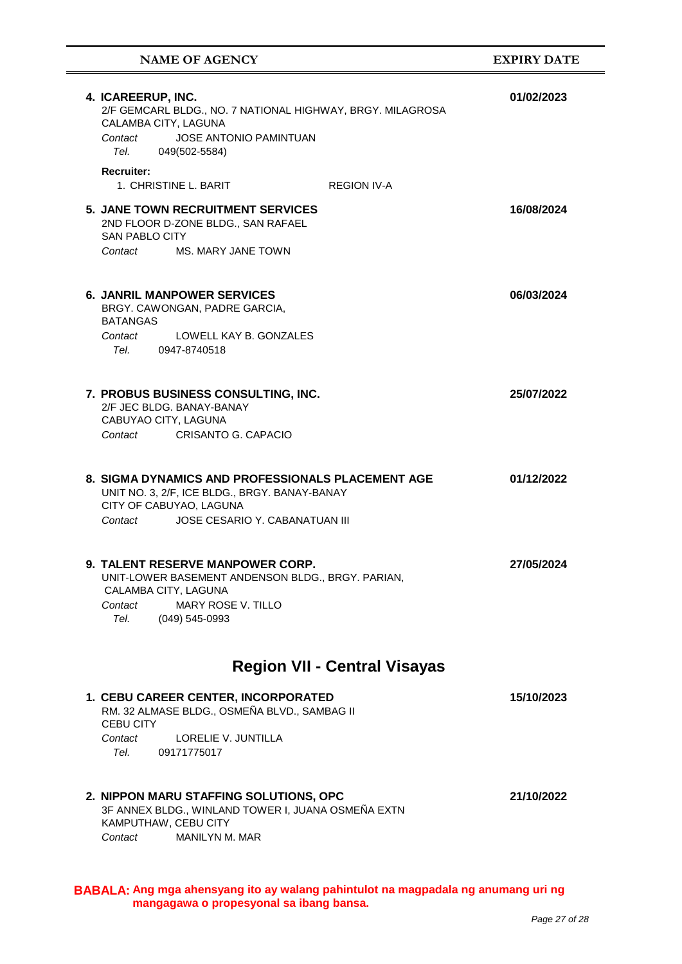| 4. ICAREERUP, INC.<br>2/F GEMCARL BLDG., NO. 7 NATIONAL HIGHWAY, BRGY. MILAGROSA<br>CALAMBA CITY, LAGUNA<br><b>JOSE ANTONIO PAMINTUAN</b><br>Contact<br>Tel.<br>049(502-5584)            | 01/02/2023 |  |
|------------------------------------------------------------------------------------------------------------------------------------------------------------------------------------------|------------|--|
| <b>Recruiter:</b><br>1. CHRISTINE L. BARIT<br>REGION IV-A                                                                                                                                |            |  |
| <b>5. JANE TOWN RECRUITMENT SERVICES</b><br>2ND FLOOR D-ZONE BLDG., SAN RAFAEL<br>SAN PABLO CITY<br>Contact MS, MARY JANE TOWN                                                           | 16/08/2024 |  |
| <b>6. JANRIL MANPOWER SERVICES</b><br>BRGY. CAWONGAN, PADRE GARCIA,<br><b>BATANGAS</b><br>Contact<br>LOWELL KAY B. GONZALES<br>Tel. 0947-8740518                                         | 06/03/2024 |  |
| 7. PROBUS BUSINESS CONSULTING, INC.<br>2/F JEC BLDG, BANAY-BANAY<br>CABUYAO CITY, LAGUNA<br>CRISANTO G. CAPACIO<br>Contact                                                               | 25/07/2022 |  |
| 8. SIGMA DYNAMICS AND PROFESSIONALS PLACEMENT AGE<br>UNIT NO. 3, 2/F, ICE BLDG., BRGY. BANAY-BANAY<br>CITY OF CABUYAO, LAGUNA<br>JOSE CESARIO Y. CABANATUAN III<br>Contact               | 01/12/2022 |  |
| <b>9. TALENT RESERVE MANPOWER CORP.</b><br>UNIT-LOWER BASEMENT ANDENSON BLDG., BRGY. PARIAN,<br>CALAMBA CITY, LAGUNA<br><b>MARY ROSE V. TILLO</b><br>Contact<br>Tel.<br>$(049)$ 545-0993 | 27/05/2024 |  |
| <b>Region VII - Central Visayas</b>                                                                                                                                                      |            |  |
| 1. CEBU CAREER CENTER, INCORPORATED<br>RM. 32 ALMASE BLDG., OSMEÑA BLVD., SAMBAG II<br><b>CEBU CITY</b><br>Contact<br>LORELIE V. JUNTILLA<br>Tel.<br>09171775017                         | 15/10/2023 |  |
| 2. NIPPON MARU STAFFING SOLUTIONS, OPC<br>3F ANNEX BLDG., WINLAND TOWER I, JUANA OSMEÑA EXTN<br>KAMPUTHAW, CEBU CITY<br><b>MANILYN M. MAR</b><br>Contact                                 | 21/10/2022 |  |